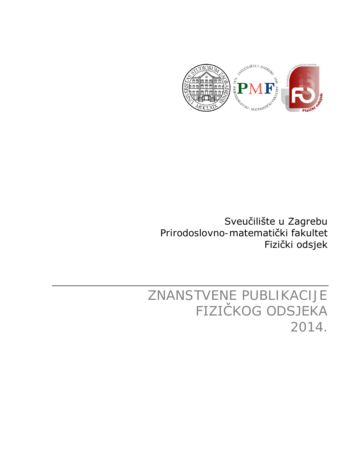

Sveučilište u Zagrebu Prirodoslovno-matematički fakultet Fizički odsjek

ZNANSTVENE PUBLIKACIJE FIZIČKOG ODSJEKA 2014.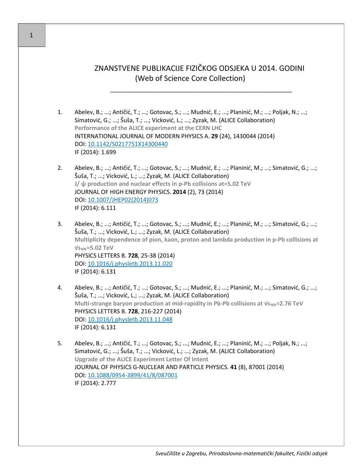## ZNANSTVENE PUBLIKACIJE FIZIČKOG ODSJEKA U 2014. GODINI (Web of Science Core Collection)

\_\_\_\_\_\_\_\_\_\_\_\_\_\_\_\_\_\_\_\_\_\_\_\_\_\_\_\_\_\_\_\_\_\_\_\_\_\_\_\_\_\_\_\_\_\_\_\_\_\_\_\_\_\_\_\_

- 1. Abelev, B.; ...; Antičić, T.; ...; Gotovac, S.; ...; Mudnić, E.; ...; Planinić, M.; ...; Poljak, N.; ...; Simatović, G.; ...; Šuša, T.; ...; Vicković, L.; ...; Zyzak, M. (ALICE Collaboration) **Performance of the ALICE experiment at the CERN LHC** INTERNATIONAL JOURNAL OF MODERN PHYSICS A. **29** (24), 1430044 (2014) DOI: [10.1142/S0217751X14300440](http://dx.doi.org/10.1142/S0217751X14300440) IF (2014): 1.699
- 2. Abelev, B.; ...; Antičić, T.; ...; Gotovac, S.; ...; Mudnić, E.; ...; Planinić, M.; ...; Simatović, G.; ...; Šuša, T.; ...; Vicković, L.; ...; Zyzak, M. (ALICE Collaboration) **J/ ψ production and nuclear effects in p-Pb collisions at=5.02 TeV** JOURNAL OF HIGH ENERGY PHYSICS. **2014** (2), 73 (2014) DOI: [10.1007/JHEP02\(2014\)073](http://dx.doi.org/10.1007/JHEP02(2014)073) IF (2014): 6.111
- 3. Abelev, B.; ...; Antičić, T.; ...; Gotovac, S.; ...; Mudnić, E.; ...; Planinić, M.; ...; Simatović, G.; ...; Šuša, T.; ...; Vicković, L.; ...; Zyzak, M. (ALICE Collaboration) **Multiplicity dependence of pion, kaon, proton and lambda production in p-Pb collisions at √sNN=5.02 TeV** PHYSICS LETTERS B. **728**, 25-38 (2014) DOI: [10.1016/j.physletb.2013.11.020](http://dx.doi.org/10.1016/j.physletb.2013.11.020) IF (2014): 6.131
- 4. Abelev, B.; ...; Antičić, T.; ...; Gotovac, S.; ...; Mudnić, E.; ...; Planinić, M.; ...; Simatović, G.; ...; Šuša, T.; ...; Vicković, L.; ...; Zyzak, M. (ALICE Collaboration) **Multi-strange baryon production at mid-rapidity in Pb-Pb collisions at**  $V_{\text{SNN}}$ **=2.76 TeV** PHYSICS LETTERS B. **728**, 216-227 (2014) DOI: [10.1016/j.physletb.2013.11.048](http://dx.doi.org/10.1016/j.physletb.2013.11.048) IF (2014): 6.131
- 5. Abelev, B.; ...; Antičić, T.; ...; Gotovac, S.; ...; Mudnić, E.; ...; Planinić, M.; ...; Poljak, N.; ...; Simatović, G.; ...; Šuša, T.; ...; Vicković, L.; ...; Zyzak, M. (ALICE Collaboration) **Upgrade of the ALICE Experiment Letter Of Intent** JOURNAL OF PHYSICS G-NUCLEAR AND PARTICLE PHYSICS. **41** (8), 87001 (2014) DOI: 10.1088/0954-[3899/41/8/087001](http://dx.doi.org/10.1088/0954-3899/41/8/087001) IF (2014): 2.777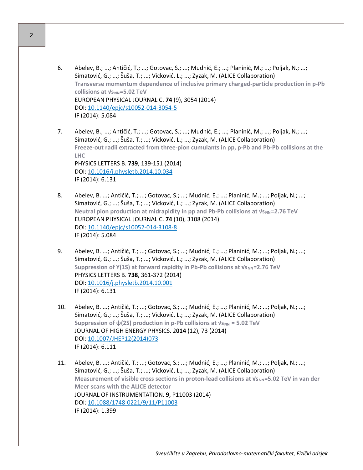- 6. Abelev, B.; ...; Antičić, T.; ...; Gotovac, S.; ...; Mudnić, E.; ...; Planinić, M.; ...; Poljak, N.; ...; Simatović, G.; ...; Šuša, T.; ...; Vicković, L.; ...; Zyzak, M. (ALICE Collaboration) **Transverse momentum dependence of inclusive primary charged-particle production in p-Pb collisions at**  $V$ **<sub>SNN</sub>=5.02 TeV** EUROPEAN PHYSICAL JOURNAL C. **74** (9), 3054 (2014) DOI: [10.1140/epjc/s10052](http://dx.doi.org/10.1140/epjc/s10052-014-3054-5)-014-3054-5 IF (2014): 5.084
- 7. Abelev, B.; ...; Antičić, T.; ...; Gotovac, S.; ...; Mudnić, E.; ...; Planinić, M.; ...; Poljak, N.; ...; Simatović, G.; ...; Šuša, T.; ...; Vicković, L.; ...; Zyzak, M. (ALICE Collaboration) **Freeze-out radii extracted from three-pion cumulants in pp, p-Pb and Pb-Pb collisions at the LHC** PHYSICS LETTERS B. **739**, 139-151 (2014) DOI: [10.1016/j.physletb.2014.10.034](http://dx.doi.org/10.1016/j.physletb.2014.10.034) IF (2014): 6.131
- 8. Abelev, B. ...; Antičić, T.; ...; Gotovac, S.; ...; Mudnić, E.; ...; Planinić, M.; ...; Poljak, N.; ...; Simatović, G.; ...; Šuša, T.; ...; Vicković, L.; ...; Zyzak, M. (ALICE Collaboration) **Neutral pion production at midrapidity in pp and Pb-Pb collisions at √s<sub>NN</sub>=2.76 TeV** EUROPEAN PHYSICAL JOURNAL C. **74** (10), 3108 (2014) DOI: [10.1140/epjc/s10052](http://dx.doi.org/10.1140/epjc/s10052-014-3108-8)-014-3108-8 IF (2014): 5.084
- 9. Abelev, B. ...; Antičić, T.; ...; Gotovac, S.; ...; Mudnić, E.; ...; Planinić, M.; ...; Poljak, N.; ...; Simatović, G.; ...; Šuša, T.; ...; Vicković, L.; ...; Zyzak, M. (ALICE Collaboration) **Suppression of Y(1S) at forward rapidity in Pb-Pb collisions at**  $V_{\text{SNN}}$ **=2.76 TeV** PHYSICS LETTERS B. **738**, 361-372 (2014) DOI: [10.1016/j.physletb.2014.10.001](http://dx.doi.org/10.1016/j.physletb.2014.10.001) IF (2014): 6.131
- 10. Abelev, B. ...; Antičić, T.; ...; Gotovac, S.; ...; Mudnić, E.; ...; Planinić, M.; ...; Poljak, N.; ...; Simatović, G.; ...; Šuša, T.; ...; Vicković, L.; ...; Zyzak, M. (ALICE Collaboration) **Suppression of ψ(2S) production in p-Pb collisions at**  $V_s$ **<sub>NN</sub> = 5.02 TeV** JOURNAL OF HIGH ENERGY PHYSICS. 2**014** (12), 73 (2014) DOI: [10.1007/JHEP12\(2014\)073](http://dx.doi.org/10.1007/JHEP12(2014)073) IF (2014): 6.111
- 11. Abelev, B. ...; Antičić, T.; ...; Gotovac, S.; ...; Mudnić, E.; ...; Planinić, M.; ...; Poljak, N.; ...; Simatović, G.; ...; Šuša, T.; ...; Vicković, L.; ...; Zyzak, M. (ALICE Collaboration) **Measurement of visible cross sections in proton-lead collisions at √s<sub>NN</sub>=5.02 TeV in van der Meer scans with the ALICE detector** JOURNAL OF INSTRUMENTATION. **9**, P11003 (2014) DOI: 10.1088/1748-[0221/9/11/P11003](http://dx.doi.org/10.1088/1748-0221/9/11/P11003) IF (2014): 1.399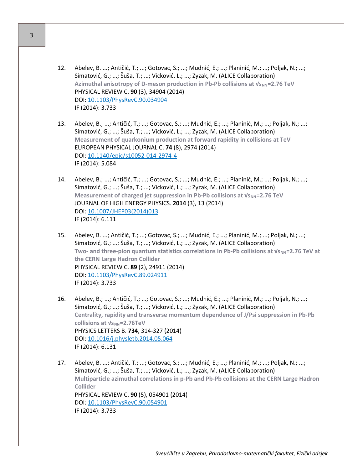- 12. Abelev, B. ...; Antičić, T.; ...; Gotovac, S.; ...; Mudnić, E.; ...; Planinić, M.; ...; Poljak, N.; ...; Simatović, G.; ...; Šuša, T.; ...; Vicković, L.; ...; Zyzak, M. (ALICE Collaboration) **Azimuthal anisotropy of D-meson production in Pb-Pb collisions at √sNN=2.76 TeV** PHYSICAL REVIEW C. **90** (3), 34904 (2014) DOI: [10.1103/PhysRevC.90.034904](http://dx.doi.org/10.1103/PhysRevC.90.034904) IF (2014): 3.733
- 13. Abelev, B.; ...; Antičić, T.; ...; Gotovac, S.; ...; Mudnić, E.; ...; Planinić, M.; ...; Poljak, N.; ...; Simatović, G.; ...; Šuša, T.; ...; Vicković, L.; ...; Zyzak, M. (ALICE Collaboration) **Measurement of quarkonium production at forward rapidity in collisions at TeV** EUROPEAN PHYSICAL JOURNAL C. **74** (8), 2974 (2014) DOI: [10.1140/epjc/s10052](http://dx.doi.org/10.1140/epjc/s10052-014-2974-4)-014-2974-4 IF (2014): 5.084
- 14. Abelev, B.; ...; Antičić, T.; ...; Gotovac, S.; ...; Mudnić, E.; ...; Planinić, M.; ...; Poljak, N.; ...; Simatović, G.; ...; Šuša, T.; ...; Vicković, L.; ...; Zyzak, M. (ALICE Collaboration) **Measurement of charged jet suppression in Pb-Pb collisions at**  $V_{\text{SNN}}$ **=2.76 TeV** JOURNAL OF HIGH ENERGY PHYSICS. **2014** (3), 13 (2014) DOI: [10.1007/JHEP03\(2014\)013](http://dx.doi.org/10.1007/JHEP03(2014)013) IF (2014): 6.111
- 15. Abelev, B. ...; Antičić, T.; ...; Gotovac, S.; ...; Mudnić, E.; ...; Planinić, M.; ...; Poljak, N.; ...; Simatović, G.; ...; Šuša, T.; ...; Vicković, L.; ...; Zyzak, M. (ALICE Collaboration) **Two-** and three-pion quantum statistics correlations in Pb-Pb collisions at  $V_{\text{SNN}}=2.76$  TeV at **the CERN Large Hadron Collider** PHYSICAL REVIEW C. **89** (2), 24911 (2014) DOI: [10.1103/PhysRevC.89.024911](http://dx.doi.org/10.1103/PhysRevC.89.024911) IF (2014): 3.733
- 16. Abelev, B.; ...; Antičić, T.; ...; Gotovac, S.; ...; Mudnić, E.; ...; Planinić, M.; ...; Poljak, N.; ...; Simatović, G.; ...; Šuša, T.; ...; Vicković, L.; ...; Zyzak, M. (ALICE Collaboration) **Centrality, rapidity and transverse momentum dependence of J/Psi suppression in Pb-Pb collisions at**  $Vs_{NN}$ **=2.76TeV** PHYSICS LETTERS B. **734**, 314-327 (2014) DOI: [10.1016/j.physletb.2014.05.064](http://dx.doi.org/10.1016/j.physletb.2014.05.064) IF (2014): 6.131
- 17. Abelev, B. ...; Antičić, T.; ...; Gotovac, S.; ...; Mudnić, E.; ...; Planinić, M.; ...; Poljak, N.; ...; Simatović, G.; ...; Šuša, T.; ...; Vicković, L.; ...; Zyzak, M. (ALICE Collaboration) **Multiparticle azimuthal correlations in p-Pb and Pb-Pb collisions at the CERN Large Hadron Collider** PHYSICAL REVIEW C. **90** (5), 054901 (2014) DOI: [10.1103/PhysRevC.90.054901](http://dx.doi.org/10.1103/PhysRevC.90.054901) IF (2014): 3.733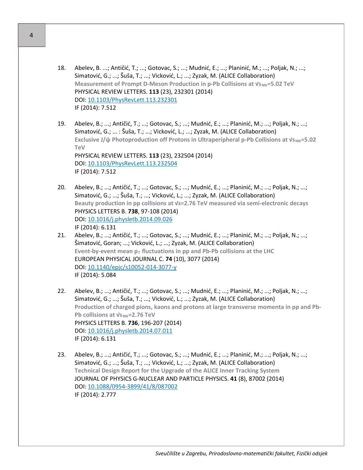- 18. Abelev, B. ...; Antičić, T.; ...; Gotovac, S.; ...; Mudnić, E.; ...; Planinić, M.; ...; Poljak, N.; ...; Simatović, G.; ...; Šuša, T.; ...; Vicković, L.; ...; Zyzak, M. (ALICE Collaboration) **Measurement of Prompt D-Meson Production in p-Pb Collisions at**  $V_{\text{SNN}}$ **=5.02 TeV** PHYSICAL REVIEW LETTERS. **113** (23), 232301 (2014) DOI: [10.1103/PhysRevLett.113.232301](http://dx.doi.org/10.1103/PhysRevLett.113.232301) IF (2014): 7.512
- 19. Abelev, B.; ...; Antičić, T.; ...; Gotovac, S.; ...; Mudnić, E.; ...; Planinić, M.; ...; Poljak, N.; ...; Simatović, G.; ... : Šuša, T.; ...; Vicković, L.; ...; Zyzak, M. (ALICE Collaboration) **Exclusive J/ψ Photoproduction off Protons in Ultraperipheral p-Pb Collisions at**  $V_{\text{SNN}}$ **=5.02 TeV** PHYSICAL REVIEW LETTERS. **113** (23), 232504 (2014) DOI: [10.1103/PhysRevLett.113.232504](http://dx.doi.org/10.1103/PhysRevLett.113.232504) IF (2014): 7.512
- 20. Abelev, B.; ...; Antičić, T.; ...; Gotovac, S.; ...; Mudnić, E.; ...; Planinić, M.; ...; Poljak, N.; ...; Simatović, G.; ...; Šuša, T.; ...; Vicković, L.; ...; Zyzak, M. (ALICE Collaboration) **Beauty production in pp collisions at √s=2.76 TeV measured via semi-electronic decays** PHYSICS LETTERS B. **738**, 97-108 (2014) DOI: [10.1016/j.physletb.2014.09.026](http://dx.doi.org/10.1016/j.physletb.2014.09.026) IF (2014): 6.131
- 21. Abelev, B.; ...; Antičić, T.; ...; Gotovac, S.; ...; Mudnić, E.; ...; Planinić, M.; ...; Poljak, N.; ...; Šimatović, Goran; ...; Vicković, L.; ...; Zyzak, M. (ALICE Collaboration) **Event-by-event mean**  $p_T$  **fluctuations in pp and Pb-Pb collisions at the LHC** EUROPEAN PHYSICAL JOURNAL C. **74** (10), 3077 (2014) DOI: [10.1140/epjc/s10052](http://dx.doi.org/10.1140/epjc/s10052-014-3077-y)-014-3077-y IF (2014): 5.084
- 22. Abelev, B.; ...; Antičić, T.; ...; Gotovac, S.; ...; Mudnić, E.; ...; Planinić, M.; ...; Poljak, N.; ...; Simatović, G.; ...; Šuša, T.; ...; Vicković, L.; ...; Zyzak, M. (ALICE Collaboration) **Production of charged pions, kaons and protons at large transverse momenta in pp and Pb-Pb collisions at**  $V$ **<sub>SNN</sub>=2.76 TeV** PHYSICS LETTERS B. **736**, 196-207 (2014) DOI: [10.1016/j.physletb.2014.07.011](http://dx.doi.org/10.1016/j.physletb.2014.07.011) IF (2014): 6.131
- 23. Abelev, B.; ...; Antičić, T.; ...; Gotovac, S.; ...; Mudnić, E.; ...; Planinić, M.; ...; Poljak, N.; ...; Simatović, G.; ...; Šuša, T.; ...; Vicković, L.; ...; Zyzak, M. (ALICE Collaboration) **Technical Design Report for the Upgrade of the ALICE Inner Tracking System** JOURNAL OF PHYSICS G-NUCLEAR AND PARTICLE PHYSICS. **41** (8), 87002 (2014) DOI: 10.1088/0954-[3899/41/8/087002](http://dx.doi.org/10.1088/0954-3899/41/8/087002) IF (2014): 2.777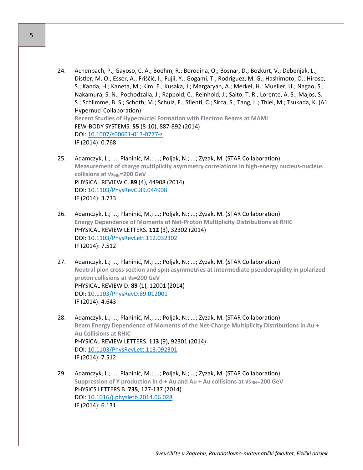- 24. Achenbach, P.; Gayoso, C. A.; Boehm, R.; Borodina, O.; Bosnar, D.; Bozkurt, V.; Debenjak, L.; Distler, M. O.; Esser, A.; Friščić, I.; Fujii, Y.; Gogami, T.; Rodriguez, M. G.; Hashimoto, O.; Hirose, S.; Kanda, H.; Kaneta, M.; Kim, E.; Kusaka, J.; Margaryan, A.; Merkel, H.; Mueller, U.; Nagao, S.; Nakamura, S. N.; Pochodzalla, J.; Rappold, C.; Reinhold, J.; Saito, T. R.; Lorente, A. S.; Majos, S. S.; Schlimme, B. S.; Schoth, M.; Schulz, F.; Sfienti, C.; Sirca, S.; Tang, L.; Thiel, M.; Tsukada, K. (A1 Hypernucl Collaboration) **Recent Studies of Hypernuclei Formation with Electron Beams at MAMI** FEW-BODY SYSTEMS. **55** (8-10), 887-892 (2014) DOI: [10.1007/s00601](http://dx.doi.org/10.1007/s00601-013-0777-z)-013-0777-z IF (2014): 0.768
- 25. Adamczyk, L.; ...; Planinić, M.; ...; Poljak, N.; ...; Zyzak, M. (STAR Collaboration) **Measurement of charge multiplicity asymmetry correlations in high-energy nucleus-nucleus collisions at √sNN=200 GeV** PHYSICAL REVIEW C. **89** (4), 44908 (2014) DOI: [10.1103/PhysRevC.89.044908](http://dx.doi.org/10.1103/PhysRevC.89.044908) IF (2014): 3.733
- 26. Adamczyk, L.; ...; Planinić, M.; ...; Poljak, N.; ...; Zyzak, M. (STAR Collaboration) **Energy Dependence of Moments of Net-Proton Multiplicity Distributions at RHIC** PHYSICAL REVIEW LETTERS. **112** (3), 32302 (2014) DOI: [10.1103/PhysRevLett.112.032302](http://dx.doi.org/10.1103/PhysRevLett.112.032302) IF (2014): 7.512
- 27. Adamczyk, L.; ...; Planinić, M.; ...; Poljak, N.; ...; Zyzak, M. (STAR Collaboration) **Neutral pion cross section and spin asymmetries at intermediate pseudorapidity in polarized proton collisions at √s=200 GeV** PHYSICAL REVIEW D. **89** (1), 12001 (2014) DOI: [10.1103/PhysRevD.89.012001](http://dx.doi.org/10.1103/PhysRevD.89.012001) IF (2014): 4.643
- 28. Adamczyk, L.; ...; Planinić, M.; ...; Poljak, N.; ...; Zyzak, M. (STAR Collaboration) **Beam Energy Dependence of Moments of the Net-Charge Multiplicity Distributions in Au + Au Collisions at RHIC** PHYSICAL REVIEW LETTERS. **113** (9), 92301 (2014) DOI: [10.1103/PhysRevLett.113.092301](http://dx.doi.org/10.1103/PhysRevLett.113.092301) IF (2014): 7.512
- 29. Adamczyk, L.; ...; Planinić, M.; ...; Poljak, N.; ...; Zyzak, M. (STAR Collaboration) **Suppression of Υ production in d + Au and Au + Au collisions at**  $V$ **<sub>NN</sub>=200 GeV** PHYSICS LETTERS B. **735**, 127-137 (2014) DOI: [10.1016/j.physletb.2014.06.028](http://dx.doi.org/10.1016/j.physletb.2014.06.028) IF (2014): 6.131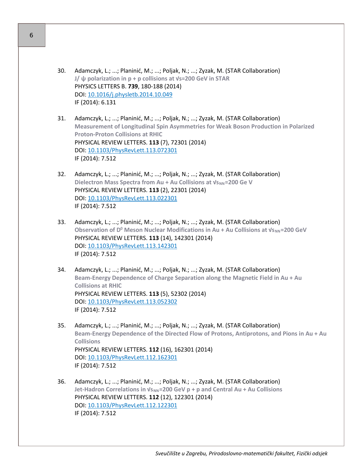- 30. Adamczyk, L.; ...; Planinić, M.; ...; Poljak, N.; ...; Zyzak, M. (STAR Collaboration) **J/ ψ polarization in p + p collisions at √s=200 GeV in STAR** PHYSICS LETTERS B. **739**, 180-188 (2014) DOI: [10.1016/j.physletb.2014.10.049](http://dx.doi.org/10.1016/j.physletb.2014.10.049) IF (2014): 6.131
- 31. Adamczyk, L.; ...; Planinić, M.; ...; Poljak, N.; ...; Zyzak, M. (STAR Collaboration) **Measurement of Longitudinal Spin Asymmetries for Weak Boson Production in Polarized Proton-Proton Collisions at RHIC** PHYSICAL REVIEW LETTERS. **113** (7), 72301 (2014) DOI: [10.1103/PhysRevLett.113.072301](http://dx.doi.org/10.1103/PhysRevLett.113.072301) IF (2014): 7.512
- 32. Adamczyk, L.; ...; Planinić, M.; ...; Poljak, N.; ...; Zyzak, M. (STAR Collaboration) **Dielectron Mass Spectra from Au + Au Collisions at**  $V_{\text{SNN}}$ **=200 Ge V** PHYSICAL REVIEW LETTERS. **113** (2), 22301 (2014) DOI: [10.1103/PhysRevLett.113.022301](http://dx.doi.org/10.1103/PhysRevLett.113.022301) IF (2014): 7.512
- 33. Adamczyk, L.; ...; Planinić, M.; ...; Poljak, N.; ...; Zyzak, M. (STAR Collaboration) **Observation of D<sup>0</sup> Meson Nuclear Modifications in Au + Au Collisions at**  $v_{\text{SNN}}$ **=200 GeV** PHYSICAL REVIEW LETTERS. **113** (14), 142301 (2014) DOI: [10.1103/PhysRevLett.113.142301](http://dx.doi.org/10.1103/PhysRevLett.113.142301) IF (2014): 7.512
- 34. Adamczyk, L.; ...; Planinić, M.; ...; Poljak, N.; ...; Zyzak, M. (STAR Collaboration) **Beam-Energy Dependence of Charge Separation along the Magnetic Field in Au + Au Collisions at RHIC** PHYSICAL REVIEW LETTERS. **113** (5), 52302 (2014) DOI: [10.1103/PhysRevLett.113.052302](http://dx.doi.org/10.1103/PhysRevLett.113.052302) IF (2014): 7.512
- 35. Adamczyk, L.; ...; Planinić, M.; ...; Poljak, N.; ...; Zyzak, M. (STAR Collaboration) **Beam-Energy Dependence of the Directed Flow of Protons, Antiprotons, and Pions in Au + Au Collisions** PHYSICAL REVIEW LETTERS. **112** (16), 162301 (2014) DOI: [10.1103/PhysRevLett.112.162301](http://dx.doi.org/10.1103/PhysRevLett.112.162301) IF (2014): 7.512
- 36. Adamczyk, L.; ...; Planinić, M.; ...; Poljak, N.; ...; Zyzak, M. (STAR Collaboration) **Jet-Hadron Correlations in √sNN=200 GeV p + p and Central Au + Au Collisions** PHYSICAL REVIEW LETTERS. **112** (12), 122301 (2014) DOI: [10.1103/PhysRevLett.112.122301](http://dx.doi.org/10.1103/PhysRevLett.112.122301) IF (2014): 7.512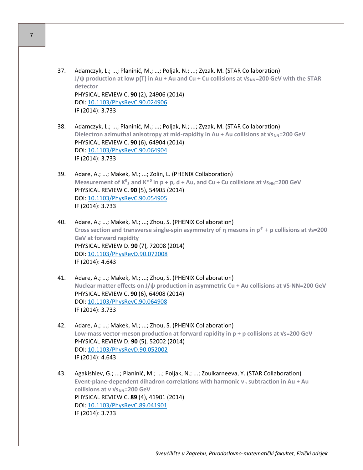- 37. Adamczyk, L.; ...; Planinić, M.; ...; Poljak, N.; ...; Zyzak, M. (STAR Collaboration) **J/** $\psi$  production at low p(T) in Au + Au and Cu + Cu collisions at  $V_{SNN}$ =200 GeV with the STAR **detector** PHYSICAL REVIEW C. **90** (2), 24906 (2014) DOI: [10.1103/PhysRevC.90.024906](http://dx.doi.org/10.1103/PhysRevC.90.024906) IF (2014): 3.733
- 38. Adamczyk, L.; ...; Planinić, M.; ...; Poljak, N.; ...; Zyzak, M. (STAR Collaboration) **Dielectron azimuthal anisotropy at mid-rapidity in Au + Au collisions at**  $v_{\text{SNN}}$ **=200 GeV** PHYSICAL REVIEW C. **90** (6), 64904 (2014) DOI: [10.1103/PhysRevC.90.064904](http://dx.doi.org/10.1103/PhysRevC.90.064904) IF (2014): 3.733
- 39. Adare, A.; ...; Makek, M.; ...; Zolin, L. (PHENIX Collaboration) **Measurement of K<sup>o</sup>s and K<sup>\*o</sup> in p + p, d + Au, and Cu + Cu collisions at**  $Vs_{NN}$ **=200 GeV** PHYSICAL REVIEW C. **90** (5), 54905 (2014) DOI: [10.1103/PhysRevC.90.054905](http://dx.doi.org/10.1103/PhysRevC.90.054905) IF (2014): 3.733
- 40. Adare, A.; ...; Makek, M.; ...; Zhou, S. (PHENIX Collaboration) **Cross section and transverse single-spin asymmetry of η mesons in p↑ + p collisions at √s=200 GeV at forward rapidity** PHYSICAL REVIEW D. **90** (7), 72008 (2014) DOI: [10.1103/PhysRevD.90.072008](http://dx.doi.org/10.1103/PhysRevD.90.072008) IF (2014): 4.643
- 41. Adare, A.; ...; Makek, M.; ...; Zhou, S. (PHENIX Collaboration) **Nuclear matter effects on J/ψ production in asymmetric Cu + Au collisions at √S-NN=200 GeV** PHYSICAL REVIEW C. **90** (6), 64908 (2014) DOI: [10.1103/PhysRevC.90.064908](http://dx.doi.org/10.1103/PhysRevC.90.064908) IF (2014): 3.733
- 42. Adare, A.; ...; Makek, M.; ...; Zhou, S. (PHENIX Collaboration) **Low-mass vector-meson production at forward rapidity in p + p collisions at √s=200 GeV** PHYSICAL REVIEW D. **90** (5), 52002 (2014) DOI: [10.1103/PhysRevD.90.052002](http://dx.doi.org/10.1103/PhysRevD.90.052002) IF (2014): 4.643
- 43. Agakishiev, G.; ...; Planinić, M.; ...; Poljak, N.; ...; Zoulkarneeva, Y. (STAR Collaboration) **Event-plane-dependent dihadron correlations with harmonic v<sup>n</sup> subtraction in Au + Au collisions at v V<sub>SNN</sub>=200 GeV** PHYSICAL REVIEW C. **89** (4), 41901 (2014) DOI: [10.1103/PhysRevC.89.041901](http://dx.doi.org/10.1103/PhysRevC.89.041901) IF (2014): 3.733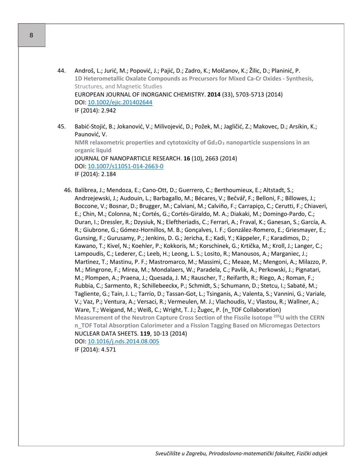44. Androš, L.; Jurić, M.; Popović, J.; Pajić, D.; Zadro, K.; Molčanov, K.; Žilic, D.; Planinić, P. **1D Heterometallic Oxalate Compounds as Precursors for Mixed Ca-Cr Oxides - Synthesis,**  Structures, and Magnetic Studies EUROPEAN JOURNAL OF INORGANIC CHEMISTRY. **2014** (33), 5703-5713 (2014) DOI: [10.1002/ejic.201402644](http://dx.doi.org/10.1002/ejic.201402644) IF (2014): 2.942

45. Babić-Stojić, B.; Jokanović, V.; Milivojević, D.; Požek, M.; Jagličić, Z.; Makovec, D.; Arsikin, K.; Paunović, V. **NMR relaxometric properties and cytotoxicity of Gd2O<sup>3</sup> nanoparticle suspensions in an organic liquid** JOURNAL OF NANOPARTICLE RESEARCH. **16** (10), 2663 (2014) DOI: [10.1007/s11051](http://dx.doi.org/10.1007/s11051-014-2663-0)-014-2663-0 IF (2014): 2.184

46. Balibrea, J.; Mendoza, E.; Cano-Ott, D.; Guerrero, C.; Berthoumieux, E.; Altstadt, S.; Andrzejewski, J.; Audouin, L.; Barbagallo, M.; Bécares, V.; Bečvář, F.; Belloni, F.; Billowes, J.; Boccone, V.; Bosnar, D.; Brugger, M.; Calviani, M.; Calviño, F.; Carrapiço, C.; Cerutti, F.; Chiaveri, E.; Chin, M.; Colonna, N.; Cortés, G.; Cortés-Giraldo, M. A.; Diakaki, M.; Domingo-Pardo, C.; Duran, I.; Dressler, R.; Dzysiuk, N.; Eleftheriadis, C.; Ferrari, A.; Fraval, K.; Ganesan, S.; García, A. R.; Giubrone, G.; Gómez-Hornillos, M. B.; Gonçalves, I. F.; González-Romero, E.; Griesmayer, E.; Gunsing, F.; Gurusamy, P.; Jenkins, D. G.; Jericha, E.; Kadi, Y.; Käppeler, F.; Karadimos, D.; Kawano, T.; Kivel, N.; Koehler, P.; Kokkoris, M.; Korschinek, G.; Krtička, M.; Kroll, J.; Langer, C.; Lampoudis, C.; Lederer, C.; Leeb, H.; Leong, L. S.; Losito, R.; Manousos, A.; Marganiec, J.; Martìnez, T.; Mastinu, P. F.; Mastromarco, M.; Massimi, C.; Meaze, M.; Mengoni, A.; Milazzo, P. M.; Mingrone, F.; Mirea, M.; Mondalaers, W.; Paradela, C.; Pavlik, A.; Perkowski, J.; Pignatari, M.; Plompen, A.; Praena, J.; Quesada, J. M.; Rauscher, T.; Reifarth, R.; Riego, A.; Roman, F.; Rubbia, C.; Sarmento, R.; Schillebeeckx, P.; Schmidt, S.; Schumann, D.; Stetcu, I.; Sabaté, M.; Tagliente, G.; Tain, J. L.; Tarrío, D.; Tassan-Got, L.; Tsinganis, A.; Valenta, S.; Vannini, G.; Variale, V.; Vaz, P.; Ventura, A.; Versaci, R.; Vermeulen, M. J.; Vlachoudis, V.; Vlastou, R.; Wallner, A.; Ware, T.; Weigand, M.; Weiß, C.; Wright, T. J.; Žugec, P. (n\_TOF Collaboration) **Measurement of the Neutron Capture Cross Section of the Fissile Isotope 235U with the CERN n\_TOF Total Absorption Calorimeter and a Fission Tagging Based on Micromegas Detectors** NUCLEAR DATA SHEETS. **119**, 10-13 (2014) DOI: [10.1016/j.nds.2014.08.005](http://dx.doi.org/10.1016/j.nds.2014.08.005) IF (2014): 4.571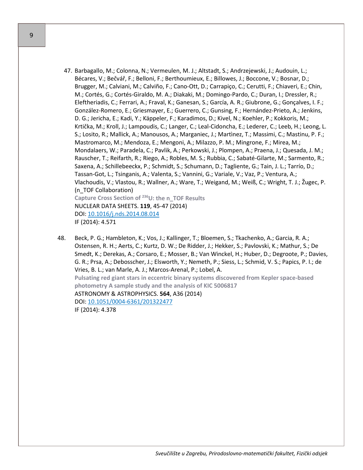- 47. Barbagallo, M.; Colonna, N.; Vermeulen, M. J.; Altstadt, S.; Andrzejewski, J.; Audouin, L.; Bécares, V.; Bečvář, F.; Belloni, F.; Berthoumieux, E.; Billowes, J.; Boccone, V.; Bosnar, D.; Brugger, M.; Calviani, M.; Calviño, F.; Cano-Ott, D.; Carrapiço, C.; Cerutti, F.; Chiaveri, E.; Chin, M.; Cortés, G.; Cortés-Giraldo, M. A.; Diakaki, M.; Domingo-Pardo, C.; Duran, I.; Dressler, R.; Eleftheriadis, C.; Ferrari, A.; Fraval, K.; Ganesan, S.; García, A. R.; Giubrone, G.; Gonçalves, I. F.; González-Romero, E.; Griesmayer, E.; Guerrero, C.; Gunsing, F.; Hernández-Prieto, A.; Jenkins, D. G.; Jericha, E.; Kadi, Y.; Käppeler, F.; Karadimos, D.; Kivel, N.; Koehler, P.; Kokkoris, M.; Krtička, M.; Kroll, J.; Lampoudis, C.; Langer, C.; Leal-Cidoncha, E.; Lederer, C.; Leeb, H.; Leong, L. S.; Losito, R.; Mallick, A.; Manousos, A.; Marganiec, J.; Martìnez, T.; Massimi, C.; Mastinu, P. F.; Mastromarco, M.; Mendoza, E.; Mengoni, A.; Milazzo, P. M.; Mingrone, F.; Mirea, M.; Mondalaers, W.; Paradela, C.; Pavlik, A.; Perkowski, J.; Plompen, A.; Praena, J.; Quesada, J. M.; Rauscher, T.; Reifarth, R.; Riego, A.; Robles, M. S.; Rubbia, C.; Sabaté-Gilarte, M.; Sarmento, R.; Saxena, A.; Schillebeeckx, P.; Schmidt, S.; Schumann, D.; Tagliente, G.; Tain, J. L.; Tarrío, D.; Tassan-Got, L.; Tsinganis, A.; Valenta, S.; Vannini, G.; Variale, V.; Vaz, P.; Ventura, A.; Vlachoudis, V.; Vlastou, R.; Wallner, A.; Ware, T.; Weigand, M.; Weiß, C.; Wright, T. J.; Žugec, P. (n\_TOF Collaboration) **Capture Cross Section of 236U: the n\_TOF Results** NUCLEAR DATA SHEETS. **119**, 45-47 (2014) DOI: [10.1016/j.nds.2014.08.014](http://dx.doi.org/10.1016/j.nds.2014.08.014) IF (2014): 4.571
- 48. Beck, P. G.; Hambleton, K.; Vos, J.; Kallinger, T.; Bloemen, S.; Tkachenko, A.; Garcia, R. A.; Ostensen, R. H.; Aerts, C.; Kurtz, D. W.; De Ridder, J.; Hekker, S.; Pavlovski, K.; Mathur, S.; De Smedt, K.; Derekas, A.; Corsaro, E.; Mosser, B.; Van Winckel, H.; Huber, D.; Degroote, P.; Davies, G. R.; Prsa, A.; Debosscher, J.; Elsworth, Y.; Nemeth, P.; Siess, L.; Schmid, V. S.; Papics, P. I.; de Vries, B. L.; van Marle, A. J.; Marcos-Arenal, P.; Lobel, A. **Pulsating red giant stars in eccentric binary systems discovered from Kepler space-based photometry A sample study and the analysis of KIC 5006817** ASTRONOMY & ASTROPHYSICS. **564**, A36 (2014) DOI: 10.1051/0004-[6361/201322477](http://dx.doi.org/10.1051/0004-6361/201322477) IF (2014): 4.378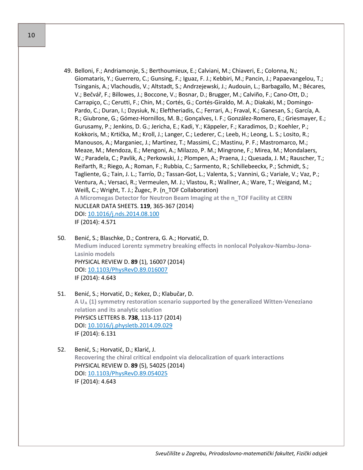- 49. Belloni, F.; Andriamonje, S.; Berthoumieux, E.; Calviani, M.; Chiaveri, E.; Colonna, N.; Giomataris, Y.; Guerrero, C.; Gunsing, F.; Iguaz, F. J.; Kebbiri, M.; Pancin, J.; Papaevangelou, T.; Tsinganis, A.; Vlachoudis, V.; Altstadt, S.; Andrzejewski, J.; Audouin, L.; Barbagallo, M.; Bécares, V.; Bečvář, F.; Billowes, J.; Boccone, V.; Bosnar, D.; Brugger, M.; Calviño, F.; Cano-Ott, D.; Carrapiço, C.; Cerutti, F.; Chin, M.; Cortés, G.; Cortés-Giraldo, M. A.; Diakaki, M.; Domingo-Pardo, C.; Duran, I.; Dzysiuk, N.; Eleftheriadis, C.; Ferrari, A.; Fraval, K.; Ganesan, S.; García, A. R.; Giubrone, G.; Gómez-Hornillos, M. B.; Gonçalves, I. F.; González-Romero, E.; Griesmayer, E.; Gurusamy, P.; Jenkins, D. G.; Jericha, E.; Kadi, Y.; Käppeler, F.; Karadimos, D.; Koehler, P.; Kokkoris, M.; Krtička, M.; Kroll, J.; Langer, C.; Lederer, C.; Leeb, H.; Leong, L. S.; Losito, R.; Manousos, A.; Marganiec, J.; Martìnez, T.; Massimi, C.; Mastinu, P. F.; Mastromarco, M.; Meaze, M.; Mendoza, E.; Mengoni, A.; Milazzo, P. M.; Mingrone, F.; Mirea, M.; Mondalaers, W.; Paradela, C.; Pavlik, A.; Perkowski, J.; Plompen, A.; Praena, J.; Quesada, J. M.; Rauscher, T.; Reifarth, R.; Riego, A.; Roman, F.; Rubbia, C.; Sarmento, R.; Schillebeeckx, P.; Schmidt, S.; Tagliente, G.; Tain, J. L.; Tarrío, D.; Tassan-Got, L.; Valenta, S.; Vannini, G.; Variale, V.; Vaz, P.; Ventura, A.; Versaci, R.; Vermeulen, M. J.; Vlastou, R.; Wallner, A.; Ware, T.; Weigand, M.; Weiß, C.; Wright, T. J.; Žugec, P. (n\_TOF Collaboration) **A Micromegas Detector for Neutron Beam Imaging at the n\_TOF Facility at CERN** NUCLEAR DATA SHEETS. **119**, 365-367 (2014) DOI: [10.1016/j.nds.2014.08.100](http://dx.doi.org/10.1016/j.nds.2014.08.100) IF (2014): 4.571
- 50. Benić, S.; Blaschke, D.; Contrera, G. A.; Horvatić, D. **Medium induced Lorentz symmetry breaking effects in nonlocal Polyakov-Nambu-Jona-Lasinio models** PHYSICAL REVIEW D. **89** (1), 16007 (2014) DOI: [10.1103/PhysRevD.89.016007](http://dx.doi.org/10.1103/PhysRevD.89.016007) IF (2014): 4.643
- 51. Benić, S.; Horvatić, D.; Kekez, D.; Klabučar, D. **A UA (1) symmetry restoration scenario supported by the generalized Witten-Veneziano relation and its analytic solution** PHYSICS LETTERS B. **738**, 113-117 (2014) DOI: [10.1016/j.physletb.2014.09.029](http://dx.doi.org/10.1016/j.physletb.2014.09.029) IF (2014): 6.131
- 52. Benić, S.; Horvatić, D.; Klarić, J. **Recovering the chiral critical endpoint via delocalization of quark interactions** PHYSICAL REVIEW D. **89** (5), 54025 (2014) DOI: [10.1103/PhysRevD.89.054025](http://dx.doi.org/10.1103/PhysRevD.89.054025) IF (2014): 4.643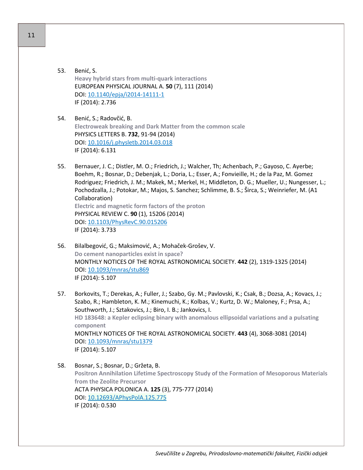- 53. Benić, S. **Heavy hybrid stars from multi-quark interactions** EUROPEAN PHYSICAL JOURNAL A. **50** (7), 111 (2014) DOI: [10.1140/epja/i2014](http://dx.doi.org/10.1140/epja/i2014-14111-1)-14111-1 IF (2014): 2.736
- 54. Benić, S.; Radovčić, B. **Electroweak breaking and Dark Matter from the common scale** PHYSICS LETTERS B. **732**, 91-94 (2014) DOI: [10.1016/j.physletb.2014.03.018](http://dx.doi.org/10.1016/j.physletb.2014.03.018) IF (2014): 6.131
- 55. Bernauer, J. C.; Distler, M. O.; Friedrich, J.; Walcher, Th; Achenbach, P.; Gayoso, C. Ayerbe; Boehm, R.; Bosnar, D.; Debenjak, L.; Doria, L.; Esser, A.; Fonvieille, H.; de la Paz, M. Gomez Rodriguez; Friedrich, J. M.; Makek, M.; Merkel, H.; Middleton, D. G.; Mueller, U.; Nungesser, L.; Pochodzalla, J.; Potokar, M.; Majos, S. Sanchez; Schlimme, B. S.; Širca, S.; Weinriefer, M. (A1 Collaboration) **Electric and magnetic form factors of the proton** PHYSICAL REVIEW C. **90** (1), 15206 (2014) DOI: [10.1103/PhysRevC.90.015206](http://dx.doi.org/10.1103/PhysRevC.90.015206) IF (2014): 3.733
- 56. Bilalbegović, G.; Maksimović, A.; Mohaček-Grošev, V. **Do cement nanoparticles exist in space?** MONTHLY NOTICES OF THE ROYAL ASTRONOMICAL SOCIETY. **442** (2), 1319-1325 (2014) DOI: [10.1093/mnras/stu869](http://dx.doi.org/10.1093/mnras/stu869) IF (2014): 5.107
- 57. Borkovits, T.; Derekas, A.; Fuller, J.; Szabo, Gy. M.; Pavlovski, K.; Csak, B.; Dozsa, A.; Kovacs, J.; Szabo, R.; Hambleton, K. M.; Kinemuchi, K.; Kolbas, V.; Kurtz, D. W.; Maloney, F.; Prsa, A.; Southworth, J.; Sztakovics, J.; Biro, I. B.; Jankovics, I. **HD 183648: a Kepler eclipsing binary with anomalous ellipsoidal variations and a pulsating component** MONTHLY NOTICES OF THE ROYAL ASTRONOMICAL SOCIETY. **443** (4), 3068-3081 (2014) DOI: [10.1093/mnras/stu1379](http://dx.doi.org/10.1093/mnras/stu1379) IF (2014): 5.107
- 58. Bosnar, S.; Bosnar, D.; Gržeta, B. **Positron Annihilation Lifetime Spectroscopy Study of the Formation of Mesoporous Materials from the Zeolite Precursor** ACTA PHYSICA POLONICA A. **125** (3), 775-777 (2014) DOI: [10.12693/APhysPolA.125.775](http://dx.doi.org/10.12693/APhysPolA.125.775) IF (2014): 0.530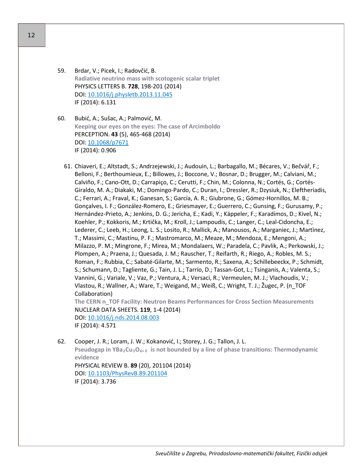- 59. Brdar, V.; Picek, I.; Radovčić, B. **Radiative neutrino mass with scotogenic scalar triplet** PHYSICS LETTERS B. **728**, 198-201 (2014) DOI: [10.1016/j.physletb.2013.11.045](http://dx.doi.org/10.1016/j.physletb.2013.11.045) IF (2014): 6.131
- 60. Bubić, A.; Sušac, A.; Palmović, M. **Keeping our eyes on the eyes: The case of Arcimboldo** PERCEPTION. **43** (5), 465-468 (2014) DOI: [10.1068/p7671](http://dx.doi.org/10.1068/p7671) IF (2014): 0.906
	- 61. Chiaveri, E.; Altstadt, S.; Andrzejewski, J.; Audouin, L.; Barbagallo, M.; Bécares, V.; Bečvář, F.; Belloni, F.; Berthoumieux, E.; Billowes, J.; Boccone, V.; Bosnar, D.; Brugger, M.; Calviani, M.; Calviño, F.; Cano-Ott, D.; Carrapiço, C.; Cerutti, F.; Chin, M.; Colonna, N.; Cortés, G.; Cortés-Giraldo, M. A.; Diakaki, M.; Domingo-Pardo, C.; Duran, I.; Dressler, R.; Dzysiuk, N.; Eleftheriadis, C.; Ferrari, A.; Fraval, K.; Ganesan, S.; García, A. R.; Giubrone, G.; Gómez-Hornillos, M. B.; Gonçalves, I. F.; González-Romero, E.; Griesmayer, E.; Guerrero, C.; Gunsing, F.; Gurusamy, P.; Hernández-Prieto, A.; Jenkins, D. G.; Jericha, E.; Kadi, Y.; Käppeler, F.; Karadimos, D.; Kivel, N.; Koehler, P.; Kokkoris, M.; Krtička, M.; Kroll, J.; Lampoudis, C.; Langer, C.; Leal-Cidoncha, E.; Lederer, C.; Leeb, H.; Leong, L. S.; Losito, R.; Mallick, A.; Manousos, A.; Marganiec, J.; Martìnez, T.; Massimi, C.; Mastinu, P. F.; Mastromarco, M.; Meaze, M.; Mendoza, E.; Mengoni, A.; Milazzo, P. M.; Mingrone, F.; Mirea, M.; Mondalaers, W.; Paradela, C.; Pavlik, A.; Perkowski, J.; Plompen, A.; Praena, J.; Quesada, J. M.; Rauscher, T.; Reifarth, R.; Riego, A.; Robles, M. S.; Roman, F.; Rubbia, C.; Sabaté-Gilarte, M.; Sarmento, R.; Saxena, A.; Schillebeeckx, P.; Schmidt, S.; Schumann, D.; Tagliente, G.; Tain, J. L.; Tarrío, D.; Tassan-Got, L.; Tsinganis, A.; Valenta, S.; Vannini, G.; Variale, V.; Vaz, P.; Ventura, A.; Versaci, R.; Vermeulen, M. J.; Vlachoudis, V.; Vlastou, R.; Wallner, A.; Ware, T.; Weigand, M.; Weiß, C.; Wright, T. J.; Žugec, P. (n\_TOF Collaboration) **The CERN n\_TOF Facility: Neutron Beams Performances for Cross Section Measurements** NUCLEAR DATA SHEETS. **119**, 1-4 (2014)

DOI: [10.1016/j.nds.2014.08.003](http://dx.doi.org/10.1016/j.nds.2014.08.003) IF (2014): 4.571

62. Cooper, J. R.; Loram, J. W.; Kokanović, I.; Storey, J. G.; Tallon, J. L. **Pseudogap in YBa2Cu3O6+ <sup>δ</sup> is not bounded by a line of phase transitions: Thermodynamic evidence** PHYSICAL REVIEW B. **89** (20), 201104 (2014) DOI: [10.1103/PhysRevB.89.201104](http://dx.doi.org/10.1103/PhysRevB.89.201104)

IF (2014): 3.736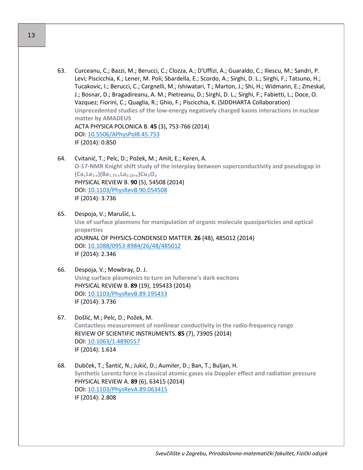- 63. Curceanu, C.; Bazzi, M.; Berucci, C.; Clozza, A.; D'Uffizi, A.; Guaraldo, C.; Iliescu, M.; Sandri, P. Levi; Piscicchia, K.; Lener, M. Poli; Sbardella, E.; Scordo, A.; Sirghi, D. L.; Sirghi, F.; Tatsuno, H.; Tucakovic, I.; Berucci, C.; Cargnelli, M.; Ishiwatari, T.; Marton, J.; Shi, H.; Widmann, E.; Zmeskal, J.; Bosnar, D.; Bragadireanu, A. M.; Pietreanu, D.; Sirghi, D. L.; Sirghi, F.; Fabietti, L.; Doce, O. Vazquez; Fiorini, C.; Quaglia, R.; Ghio, F.; Piscicchia, K. (SIDDHARTA Collaboration) **Unprecedented studies of the low-energy negatively charged kaons interactions in nuclear matter by AMADEUS** ACTA PHYSICA POLONICA B. **45** (3), 753-766 (2014) DOI: [10.5506/APhysPolB.45.753](http://dx.doi.org/10.5506/APhysPolB.45.753) IF (2014): 0.850
- 64. Cvitanić, T.; Pelc, D.; Požek, M.; Amit, E.; Keren, A. **O-17-NMR Knight shift study of the interplay between superconductivity and pseudogap in (CaxLa1-x)(Ba1.75-xLa0.25+x)Cu3Oy** PHYSICAL REVIEW B. **90** (5), 54508 (2014) DOI: [10.1103/PhysRevB.90.054508](http://dx.doi.org/10.1103/PhysRevB.90.054508) IF (2014): 3.736
- 65. Despoja, V.; Marušić, L. **Use of surface plasmons for manipulation of organic molecule quasiparticles and optical properties** JOURNAL OF PHYSICS-CONDENSED MATTER. **26** (48), 485012 (2014) DOI: 10.1088/0953-[8984/26/48/485012](http://dx.doi.org/10.1088/0953-8984/26/48/485012) IF (2014): 2.346
- 66. Despoja, V.; Mowbray, D. J. **Using surface plasmonics to turn on fullerene's dark excitons** PHYSICAL REVIEW B. **89** (19), 195433 (2014) DOI: [10.1103/PhysRevB.89.195433](http://dx.doi.org/10.1103/PhysRevB.89.195433) IF (2014): 3.736
- 67. Došlić, M.; Pelc, D.; Požek, M. **Contactless measurement of nonlinear conductivity in the radio-frequency range** REVIEW OF SCIENTIFIC INSTRUMENTS. **85** (7), 73905 (2014) DOI: [10.1063/1.4890557](http://dx.doi.org/10.1063/1.4890557) IF (2014): 1.614
- 68. Dubček, T.; Šantić, N.; Jukić, D.; Aumiler, D.; Ban, T.; Buljan, H. **Synthetic Lorentz force in classical atomic gases via Doppler effect and radiation pressure** PHYSICAL REVIEW A. **89** (6), 63415 (2014) DOI: [10.1103/PhysRevA.89.063415](http://dx.doi.org/10.1103/PhysRevA.89.063415) IF (2014): 2.808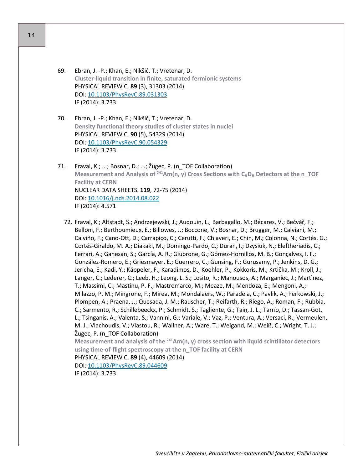- 69. Ebran, J. -P.; Khan, E.; Nikšić, T.; Vretenar, D. **Cluster-liquid transition in finite, saturated fermionic systems** PHYSICAL REVIEW C. **89** (3), 31303 (2014) DOI: [10.1103/PhysRevC.89.031303](http://dx.doi.org/10.1103/PhysRevC.89.031303) IF (2014): 3.733
- 70. Ebran, J. -P.; Khan, E.; Nikšić, T.; Vretenar, D. **Density functional theory studies of cluster states in nuclei** PHYSICAL REVIEW C. **90** (5), 54329 (2014) DOI: [10.1103/PhysRevC.90.054329](http://dx.doi.org/10.1103/PhysRevC.90.054329) IF (2014): 3.733
- 71. Fraval, K.; ...; Bosnar, D.; ...; Žugec, P. (n\_TOF Collaboration) **Measurement and Analysis of <sup>241</sup>Am(n, γ) Cross Sections with C<sub>6</sub>D<sub>6</sub> Detectors at the n\_TOF Facility at CERN** NUCLEAR DATA SHEETS. **119**, 72-75 (2014) DOI: [10.1016/j.nds.2014.08.022](http://dx.doi.org/10.1016/j.nds.2014.08.022) IF (2014): 4.571
	- 72. Fraval, K.; Altstadt, S.; Andrzejewski, J.; Audouin, L.; Barbagallo, M.; Bécares, V.; Bečvář, F.; Belloni, F.; Berthoumieux, E.; Billowes, J.; Boccone, V.; Bosnar, D.; Brugger, M.; Calviani, M.; Calviño, F.; Cano-Ott, D.; Carrapiço, C.; Cerutti, F.; Chiaveri, E.; Chin, M.; Colonna, N.; Cortés, G.; Cortés-Giraldo, M. A.; Diakaki, M.; Domingo-Pardo, C.; Duran, I.; Dzysiuk, N.; Eleftheriadis, C.; Ferrari, A.; Ganesan, S.; García, A. R.; Giubrone, G.; Gómez-Hornillos, M. B.; Gonçalves, I. F.; González-Romero, E.; Griesmayer, E.; Guerrero, C.; Gunsing, F.; Gurusamy, P.; Jenkins, D. G.; Jericha, E.; Kadi, Y.; Käppeler, F.; Karadimos, D.; Koehler, P.; Kokkoris, M.; Krtička, M.; Kroll, J.; Langer, C.; Lederer, C.; Leeb, H.; Leong, L. S.; Losito, R.; Manousos, A.; Marganiec, J.; Martìnez, T.; Massimi, C.; Mastinu, P. F.; Mastromarco, M.; Meaze, M.; Mendoza, E.; Mengoni, A.; Milazzo, P. M.; Mingrone, F.; Mirea, M.; Mondalaers, W.; Paradela, C.; Pavlik, A.; Perkowski, J.; Plompen, A.; Praena, J.; Quesada, J. M.; Rauscher, T.; Reifarth, R.; Riego, A.; Roman, F.; Rubbia, C.; Sarmento, R.; Schillebeeckx, P.; Schmidt, S.; Tagliente, G.; Tain, J. L.; Tarrío, D.; Tassan-Got, L.; Tsinganis, A.; Valenta, S.; Vannini, G.; Variale, V.; Vaz, P.; Ventura, A.; Versaci, R.; Vermeulen, M. J.; Vlachoudis, V.; Vlastou, R.; Wallner, A.; Ware, T.; Weigand, M.; Weiß, C.; Wright, T. J.; Žugec, P. (n\_TOF Collaboration)

**Measurement and analysis of the 241Am(n, γ) cross section with liquid scintillator detectors using time-of-flight spectroscopy at the n\_TOF facility at CERN**

## PHYSICAL REVIEW C. **89** (4), 44609 (2014)

DOI: [10.1103/PhysRevC.89.044609](http://dx.doi.org/10.1103/PhysRevC.89.044609) IF (2014): 3.733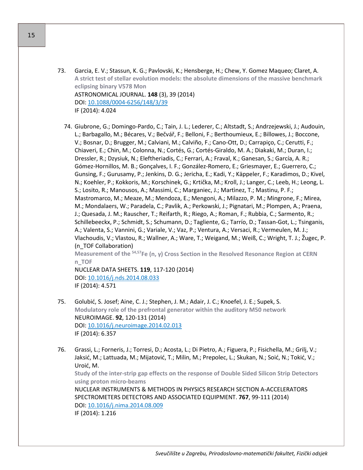- 73. Garcia, E. V.; Stassun, K. G.; Pavlovski, K.; Hensberge, H.; Chew, Y. Gomez Maqueo; Claret, A. **A strict test of stellar evolution models: the absolute dimensions of the massive benchmark eclipsing binary V578 Mon** ASTRONOMICAL JOURNAL. **148** (3), 39 (2014) DOI: 10.1088/0004-[6256/148/3/39](http://dx.doi.org/10.1088/0004-6256/148/3/39) IF (2014): 4.024
	- 74. Giubrone, G.; Domingo-Pardo, C.; Tain, J. L.; Lederer, C.; Altstadt, S.; Andrzejewski, J.; Audouin, L.; Barbagallo, M.; Bécares, V.; Bečvář, F.; Belloni, F.; Berthoumieux, E.; Billowes, J.; Boccone, V.; Bosnar, D.; Brugger, M.; Calviani, M.; Calviño, F.; Cano-Ott, D.; Carrapiço, C.; Cerutti, F.; Chiaveri, E.; Chin, M.; Colonna, N.; Cortés, G.; Cortés-Giraldo, M. A.; Diakaki, M.; Duran, I.; Dressler, R.; Dzysiuk, N.; Eleftheriadis, C.; Ferrari, A.; Fraval, K.; Ganesan, S.; García, A. R.; Gómez-Hornillos, M. B.; Gonçalves, I. F.; González-Romero, E.; Griesmayer, E.; Guerrero, C.; Gunsing, F.; Gurusamy, P.; Jenkins, D. G.; Jericha, E.; Kadi, Y.; Käppeler, F.; Karadimos, D.; Kivel, N.; Koehler, P.; Kokkoris, M.; Korschinek, G.; Krtička, M.; Kroll, J.; Langer, C.; Leeb, H.; Leong, L. S.; Losito, R.; Manousos, A.; Massimi, C.; Marganiec, J.; Martìnez, T.; Mastinu, P. F.; Mastromarco, M.; Meaze, M.; Mendoza, E.; Mengoni, A.; Milazzo, P. M.; Mingrone, F.; Mirea, M.; Mondalaers, W.; Paradela, C.; Pavlik, A.; Perkowski, J.; Pignatari, M.; Plompen, A.; Praena, J.; Quesada, J. M.; Rauscher, T.; Reifarth, R.; Riego, A.; Roman, F.; Rubbia, C.; Sarmento, R.; Schillebeeckx, P.; Schmidt, S.; Schumann, D.; Tagliente, G.; Tarrío, D.; Tassan-Got, L.; Tsinganis, A.; Valenta, S.; Vannini, G.; Variale, V.; Vaz, P.; Ventura, A.; Versaci, R.; Vermeulen, M. J.; Vlachoudis, V.; Vlastou, R.; Wallner, A.; Ware, T.; Weigand, M.; Weiß, C.; Wright, T. J.; Žugec, P. (n\_TOF Collaboration) **Measurement of the 54,57Fe (n, γ) Cross Section in the Resolved Resonance Region at CERN n\_TOF** NUCLEAR DATA SHEETS. **119**, 117-120 (2014)

DOI: [10.1016/j.nds.2014.08.033](http://dx.doi.org/10.1016/j.nds.2014.08.033) IF (2014): 4.571

- 75. Golubić, S. Josef; Aine, C. J.; Stephen, J. M.; Adair, J. C.; Knoefel, J. E.; Supek, S. **Modulatory role of the prefrontal generator within the auditory M50 network** NEUROIMAGE. **92**, 120-131 (2014) DOI: [10.1016/j.neuroimage.2014.02.013](http://dx.doi.org/10.1016/j.neuroimage.2014.02.013) IF (2014): 6.357
- 76. Grassi, L.; Forneris, J.; Torresi, D.; Acosta, L.; Di Pietro, A.; Figuera, P.; Fisichella, M.; Grilj, V.; Jaksić, M.; Lattuada, M.; Mijatović, T.; Milin, M.; Prepolec, L.; Skukan, N.; Soić, N.; Tokić, V.; Uroić, M.

**Study of the inter-strip gap effects on the response of Double Sided Silicon Strip Detectors using proton micro-beams**

NUCLEAR INSTRUMENTS & METHODS IN PHYSICS RESEARCH SECTION A-ACCELERATORS SPECTROMETERS DETECTORS AND ASSOCIATED EQUIPMENT. **767**, 99-111 (2014) DOI: [10.1016/j.nima.2014.08.009](http://dx.doi.org/10.1016/j.nima.2014.08.009) IF (2014): 1.216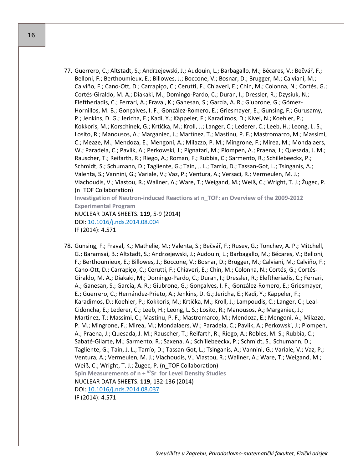77. Guerrero, C.; Altstadt, S.; Andrzejewski, J.; Audouin, L.; Barbagallo, M.; Bécares, V.; Bečvář, F.; Belloni, F.; Berthoumieux, E.; Billowes, J.; Boccone, V.; Bosnar, D.; Brugger, M.; Calviani, M.; Calviño, F.; Cano-Ott, D.; Carrapiço, C.; Cerutti, F.; Chiaveri, E.; Chin, M.; Colonna, N.; Cortés, G.; Cortés-Giraldo, M. A.; Diakaki, M.; Domingo-Pardo, C.; Duran, I.; Dressler, R.; Dzysiuk, N.; Eleftheriadis, C.; Ferrari, A.; Fraval, K.; Ganesan, S.; García, A. R.; Giubrone, G.; Gómez-Hornillos, M. B.; Gonçalves, I. F.; González-Romero, E.; Griesmayer, E.; Gunsing, F.; Gurusamy, P.; Jenkins, D. G.; Jericha, E.; Kadi, Y.; Käppeler, F.; Karadimos, D.; Kivel, N.; Koehler, P.; Kokkoris, M.; Korschinek, G.; Krtička, M.; Kroll, J.; Langer, C.; Lederer, C.; Leeb, H.; Leong, L. S.; Losito, R.; Manousos, A.; Marganiec, J.; Martìnez, T.; Mastinu, P. F.; Mastromarco, M.; Massimi, C.; Meaze, M.; Mendoza, E.; Mengoni, A.; Milazzo, P. M.; Mingrone, F.; Mirea, M.; Mondalaers, W.; Paradela, C.; Pavlik, A.; Perkowski, J.; Pignatari, M.; Plompen, A.; Praena, J.; Quesada, J. M.; Rauscher, T.; Reifarth, R.; Riego, A.; Roman, F.; Rubbia, C.; Sarmento, R.; Schillebeeckx, P.; Schmidt, S.; Schumann, D.; Tagliente, G.; Tain, J. L.; Tarrío, D.; Tassan-Got, L.; Tsinganis, A.; Valenta, S.; Vannini, G.; Variale, V.; Vaz, P.; Ventura, A.; Versaci, R.; Vermeulen, M. J.; Vlachoudis, V.; Vlastou, R.; Wallner, A.; Ware, T.; Weigand, M.; Weiß, C.; Wright, T. J.; Žugec, P. (n\_TOF Collaboration) **Investigation of Neutron-induced Reactions at n\_TOF: an Overview of the 2009-2012 Experimental Program**

NUCLEAR DATA SHEETS. **119**, 5-9 (2014) DOI: [10.1016/j.nds.2014.08.004](http://dx.doi.org/10.1016/j.nds.2014.08.004) IF (2014): 4.571

78. Gunsing, F.; Fraval, K.; Mathelie, M.; Valenta, S.; Bečvář, F.; Rusev, G.; Tonchev, A. P.; Mitchell, G.; Baramsai, B.; Altstadt, S.; Andrzejewski, J.; Audouin, L.; Barbagallo, M.; Bécares, V.; Belloni, F.; Berthoumieux, E.; Billowes, J.; Boccone, V.; Bosnar, D.; Brugger, M.; Calviani, M.; Calviño, F.; Cano-Ott, D.; Carrapiço, C.; Cerutti, F.; Chiaveri, E.; Chin, M.; Colonna, N.; Cortés, G.; Cortés-Giraldo, M. A.; Diakaki, M.; Domingo-Pardo, C.; Duran, I.; Dressler, R.; Eleftheriadis, C.; Ferrari, A.; Ganesan, S.; García, A. R.; Giubrone, G.; Gonçalves, I. F.; González-Romero, E.; Griesmayer, E.; Guerrero, C.; Hernández-Prieto, A.; Jenkins, D. G.; Jericha, E.; Kadi, Y.; Käppeler, F.; Karadimos, D.; Koehler, P.; Kokkoris, M.; Krtička, M.; Kroll, J.; Lampoudis, C.; Langer, C.; Leal-Cidoncha, E.; Lederer, C.; Leeb, H.; Leong, L. S.; Losito, R.; Manousos, A.; Marganiec, J.; Martìnez, T.; Massimi, C.; Mastinu, P. F.; Mastromarco, M.; Mendoza, E.; Mengoni, A.; Milazzo, P. M.; Mingrone, F.; Mirea, M.; Mondalaers, W.; Paradela, C.; Pavlik, A.; Perkowski, J.; Plompen, A.; Praena, J.; Quesada, J. M.; Rauscher, T.; Reifarth, R.; Riego, A.; Robles, M. S.; Rubbia, C.; Sabaté-Gilarte, M.; Sarmento, R.; Saxena, A.; Schillebeeckx, P.; Schmidt, S.; Schumann, D.; Tagliente, G.; Tain, J. L.; Tarrío, D.; Tassan-Got, L.; Tsinganis, A.; Vannini, G.; Variale, V.; Vaz, P.; Ventura, A.; Vermeulen, M. J.; Vlachoudis, V.; Vlastou, R.; Wallner, A.; Ware, T.; Weigand, M.; Weiß, C.; Wright, T. J.; Žugec, P. (n\_TOF Collaboration) **Spin Measurements of n + <sup>87</sup>Sr for Level Density Studies** NUCLEAR DATA SHEETS. **119**, 132-136 (2014) DOI: [10.1016/j.nds.2014.08.037](http://dx.doi.org/10.1016/j.nds.2014.08.037) IF (2014): 4.571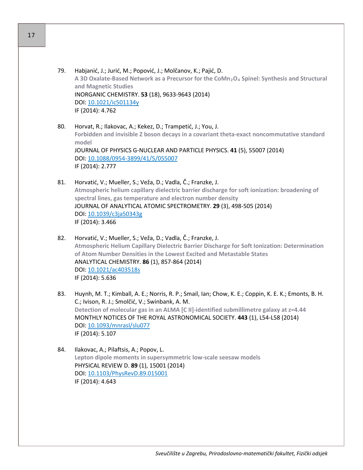- 79. Habjanić, J.; Jurić, M.; Popović, J.; Molčanov, K.; Pajić, D. **A 3D Oxalate-Based Network as a Precursor for the CoMn2O4 Spinel: Synthesis and Structural and Magnetic Studies** INORGANIC CHEMISTRY. **53** (18), 9633-9643 (2014) DOI: [10.1021/ic501134y](http://dx.doi.org/10.1021/ic501134y) IF (2014): 4.762
- 80. Horvat, R.; Ilakovac, A.; Kekez, D.; Trampetić, J.; You, J. **Forbidden and invisible Z boson decays in a covariant theta-exact noncommutative standard model** JOURNAL OF PHYSICS G-NUCLEAR AND PARTICLE PHYSICS. **41** (5), 55007 (2014) DOI: 10.1088/0954-[3899/41/5/055007](http://dx.doi.org/10.1088/0954-3899/41/5/055007) IF (2014): 2.777
- 81. Horvatić, V.; Mueller, S.; Veža, D.; Vadla, Č.; Franzke, J. **Atmospheric helium capillary dielectric barrier discharge for soft ionization: broadening of spectral lines, gas temperature and electron number density** JOURNAL OF ANALYTICAL ATOMIC SPECTROMETRY. **29** (3), 498-505 (2014) DOI: [10.1039/c3ja50343g](http://dx.doi.org/10.1039/c3ja50343g) IF (2014): 3.466
- 82. Horvatić, V.; Mueller, S.; Veža, D.; Vadla, Č.; Franzke, J. **Atmospheric Helium Capillary Dielectric Barrier Discharge for Soft Ionization: Determination of Atom Number Densities in the Lowest Excited and Metastable States** ANALYTICAL CHEMISTRY. **86** (1), 857-864 (2014) DOI: [10.1021/ac403518s](http://dx.doi.org/10.1021/ac403518s) IF (2014): 5.636
- 83. Huynh, M. T.; Kimball, A. E.; Norris, R. P.; Smail, Ian; Chow, K. E.; Coppin, K. E. K.; Emonts, B. H. C.; Ivison, R. J.; Smolčić, V.; Swinbank, A. M. **Detection of molecular gas in an ALMA [C II]-identified submillimetre galaxy at z=4.44** MONTHLY NOTICES OF THE ROYAL ASTRONOMICAL SOCIETY. **443** (1), L54-L58 (2014) DOI: [10.1093/mnrasl/slu077](http://dx.doi.org/10.1093/mnrasl/slu077) IF (2014): 5.107
- 84. Ilakovac, A.; Pilaftsis, A.; Popov, L. **Lepton dipole moments in supersymmetric low-scale seesaw models** PHYSICAL REVIEW D. **89** (1), 15001 (2014) DOI: [10.1103/PhysRevD.89.015001](http://dx.doi.org/10.1103/PhysRevD.89.015001) IF (2014): 4.643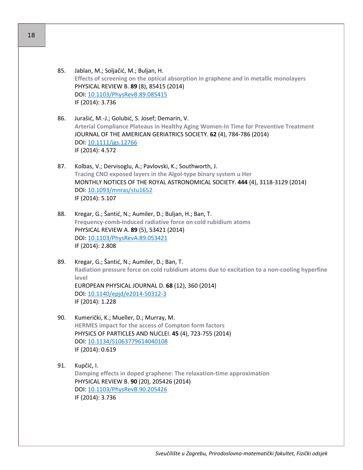- 85. Jablan, M.; Soljačić, M.; Buljan, H. **Effects of screening on the optical absorption in graphene and in metallic monolayers** PHYSICAL REVIEW B. **89** (8), 85415 (2014) DOI: [10.1103/PhysRevB.89.085415](http://dx.doi.org/10.1103/PhysRevB.89.085415) IF (2014): 3.736
- 86. Jurašić, M.-J.; Golubić, S. Josef; Demarin, V. **Arterial Compliance Plateaus in Healthy Aging Women-In Time for Preventive Treatment** JOURNAL OF THE AMERICAN GERIATRICS SOCIETY. **62** (4), 784-786 (2014) DOI: [10.1111/jgs.12766](http://dx.doi.org/10.1111/jgs.12766) IF (2014): 4.572
- 87. Kolbas, V.; Dervisoglu, A.; Pavlovski, K.; Southworth, J. **Tracing CNO exposed layers in the Algol-type binary system u Her** MONTHLY NOTICES OF THE ROYAL ASTRONOMICAL SOCIETY. **444** (4), 3118-3129 (2014) DOI: [10.1093/mnras/stu1652](http://dx.doi.org/10.1093/mnras/stu1652) IF (2014): 5.107
- 88. Kregar, G.; Šantić, N.; Aumiler, D.; Buljan, H.; Ban, T. **Frequency-comb-induced radiative force on cold rubidium atoms** PHYSICAL REVIEW A. **89** (5), 53421 (2014) DOI: [10.1103/PhysRevA.89.053421](http://dx.doi.org/10.1103/PhysRevA.89.053421) IF (2014): 2.808
- 89. Kregar, G.; Šantić, N.; Aumiler, D.; Ban, T. **Radiation pressure force on cold rubidium atoms due to excitation to a non-cooling hyperfine level** EUROPEAN PHYSICAL JOURNAL D. **68** (12), 360 (2014) DOI: [10.1140/epjd/e2014](http://dx.doi.org/10.1140/epjd/e2014-50312-3)-50312-3 IF (2014): 1.228
- 90. Kumerički, K.; Mueller, D.; Murray, M. **HERMES impact for the access of Compton form factors** PHYSICS OF PARTICLES AND NUCLEI. **45** (4), 723-755 (2014) DOI: [10.1134/S1063779614040108](http://dx.doi.org/10.1134/S1063779614040108) IF (2014): 0.619

## 91. Kupčić, I.

**Damping effects in doped graphene: The relaxation-time approximation** PHYSICAL REVIEW B. **90** (20), 205426 (2014) DOI: [10.1103/PhysRevB.90.205426](http://dx.doi.org/10.1103/PhysRevB.90.205426) IF (2014): 3.736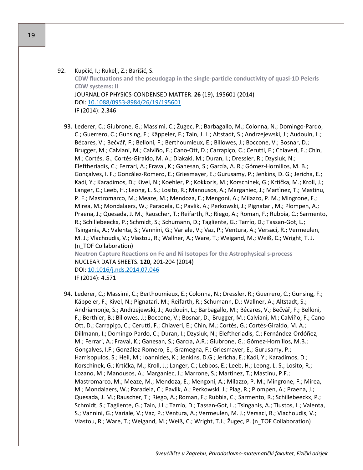92. Kupčić, I.; Rukelj, Z.; Barišić, S. **CDW fluctuations and the pseudogap in the single-particle conductivity of quasi-1D Peierls CDW systems: II** JOURNAL OF PHYSICS-CONDENSED MATTER. **26** (19), 195601 (2014) DOI: 10.1088/0953-[8984/26/19/195601](http://dx.doi.org/10.1088/0953-8984/26/19/195601) IF (2014): 2.346

93. Lederer, C.; Giubrone, G.; Massimi, C.; Žugec, P.; Barbagallo, M.; Colonna, N.; Domingo-Pardo, C.; Guerrero, C.; Gunsing, F.; Käppeler, F.; Tain, J. L.; Altstadt, S.; Andrzejewski, J.; Audouin, L.; Bécares, V.; Bečvář, F.; Belloni, F.; Berthoumieux, E.; Billowes, J.; Boccone, V.; Bosnar, D.; Brugger, M.; Calviani, M.; Calviño, F.; Cano-Ott, D.; Carrapiço, C.; Cerutti, F.; Chiaveri, E.; Chin, M.; Cortés, G.; Cortés-Giraldo, M. A.; Diakaki, M.; Duran, I.; Dressler, R.; Dzysiuk, N.; Eleftheriadis, C.; Ferrari, A.; Fraval, K.; Ganesan, S.; García, A. R.; Gómez-Hornillos, M. B.; Gonçalves, I. F.; González-Romero, E.; Griesmayer, E.; Gurusamy, P.; Jenkins, D. G.; Jericha, E.; Kadi, Y.; Karadimos, D.; Kivel, N.; Koehler, P.; Kokkoris, M.; Korschinek, G.; Krtička, M.; Kroll, J.; Langer, C.; Leeb, H.; Leong, L. S.; Losito, R.; Manousos, A.; Marganiec, J.; Martìnez, T.; Mastinu, P. F.; Mastromarco, M.; Meaze, M.; Mendoza, E.; Mengoni, A.; Milazzo, P. M.; Mingrone, F.; Mirea, M.; Mondalaers, W.; Paradela, C.; Pavlik, A.; Perkowski, J.; Pignatari, M.; Plompen, A.; Praena, J.; Quesada, J. M.; Rauscher, T.; Reifarth, R.; Riego, A.; Roman, F.; Rubbia, C.; Sarmento, R.; Schillebeeckx, P.; Schmidt, S.; Schumann, D.; Tagliente, G.; Tarrío, D.; Tassan-Got, L.; Tsinganis, A.; Valenta, S.; Vannini, G.; Variale, V.; Vaz, P.; Ventura, A.; Versaci, R.; Vermeulen, M. J.; Vlachoudis, V.; Vlastou, R.; Wallner, A.; Ware, T.; Weigand, M.; Weiß, C.; Wright, T. J. (n\_TOF Collaboration) **Neutron Capture Reactions on Fe and Ni Isotopes for the Astrophysical s-process** NUCLEAR DATA SHEETS. **120**, 201-204 (2014) DOI: [10.1016/j.nds.2014.07.046](http://dx.doi.org/10.1016/j.nds.2014.07.046)

IF (2014): 4.571

94. Lederer, C.; Massimi, C.; Berthoumieux, E.; Colonna, N.; Dressler, R.; Guerrero, C.; Gunsing, F.; Käppeler, F.; Kivel, N.; Pignatari, M.; Reifarth, R.; Schumann, D.; Wallner, A.; Altstadt, S.; Andriamonje, S.; Andrzejewski, J.; Audouin, L.; Barbagallo, M.; Bécares, V.; Bečvář, F.; Belloni, F.; Berthier, B.; Billowes, J.; Boccone, V.; Bosnar, D.; Brugger, M.; Calviani, M.; Calviño, F.; Cano-Ott, D.; Carrapiço, C.; Cerutti, F.; Chiaveri, E.; Chin, M.; Cortés, G.; Cortés-Giraldo, M. A.; Dillmann, I.; Domingo-Pardo, C.; Duran, I.; Dzysiuk, N.; Eleftheriadis, C.; Fernández-Ordóñez, M.; Ferrari, A.; Fraval, K.; Ganesan, S.; García, A.R.; Giubrone, G.; Gómez-Hornillos, M.B.; Gonçalves, I.F.; González-Romero, E.; Gramegna, F.; Griesmayer, E.; Gurusamy, P.; Harrisopulos, S.; Heil, M.; Ioannides, K.; Jenkins, D.G.; Jericha, E.; Kadi, Y.; Karadimos, D.; Korschinek, G.; Krtička, M.; Kroll, J.; Langer, C.; Lebbos, E.; Leeb, H.; Leong, L. S.; Losito, R.; Lozano, M.; Manousos, A.; Marganiec, J.; Marrone, S.; Martìnez, T.; Mastinu, P.F.; Mastromarco, M.; Meaze, M.; Mendoza, E.; Mengoni, A.; Milazzo, P. M.; Mingrone, F.; Mirea, M.; Mondalaers, W.; Paradela, C.; Pavlik, A.; Perkowski, J.; Plag, R.; Plompen, A.; Praena, J.; Quesada, J. M.; Rauscher, T.; Riego, A.; Roman, F.; Rubbia, C.; Sarmento, R.; Schillebeeckx, P.; Schmidt, S.; Tagliente, G.; Tain, J.L.; Tarrío, D.; Tassan-Got, L.; Tsinganis, A.; Tlustos, L.; Valenta, S.; Vannini, G.; Variale, V.; Vaz, P.; Ventura, A.; Vermeulen, M. J.; Versaci, R.; Vlachoudis, V.; Vlastou, R.; Ware, T.; Weigand, M.; Weiß, C.; Wright, T.J.; Žugec, P. (n\_TOF Collaboration)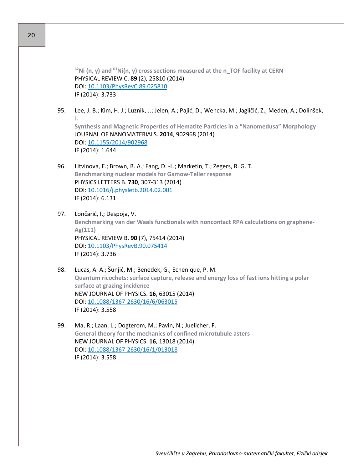**62Ni (n, γ) and 63Ni(n, γ) cross sections measured at the n\_TOF facility at CERN** PHYSICAL REVIEW C. **89** (2), 25810 (2014) DOI: [10.1103/PhysRevC.89.025810](http://dx.doi.org/10.1103/PhysRevC.89.025810) IF (2014): 3.733

95. Lee, J. B.; Kim, H. J.; Luznik, J.; Jelen, A.; Pajić, D.; Wencka, M.; Jagličić, Z.; Meden, A.; Dolinšek, J.

**Synthesis and Magnetic Properties of Hematite Particles in a "Nanomedusa" Morphology** JOURNAL OF NANOMATERIALS. **2014**, 902968 (2014) DOI: [10.1155/2014/902968](http://dx.doi.org/10.1155/2014/902968) IF (2014): 1.644

- 96. Litvinova, E.; Brown, B. A.; Fang, D. -L.; Marketin, T.; Zegers, R. G. T. **Benchmarking nuclear models for Gamow-Teller response** PHYSICS LETTERS B. **730**, 307-313 (2014) DOI: [10.1016/j.physletb.2014.02.001](http://dx.doi.org/10.1016/j.physletb.2014.02.001) IF (2014): 6.131
- 97. Lončarić, I.; Despoja, V. **Benchmarking van der Waals functionals with noncontact RPA calculations on graphene-Ag(111)** PHYSICAL REVIEW B. **90** (7), 75414 (2014) DOI: [10.1103/PhysRevB.90.075414](http://dx.doi.org/10.1103/PhysRevB.90.075414) IF (2014): 3.736
- 98. Lucas, A. A.; Šunjić, M.; Benedek, G.; Echenique, P. M. **Quantum ricochets: surface capture, release and energy loss of fast ions hitting a polar surface at grazing incidence** NEW JOURNAL OF PHYSICS. **16**, 63015 (2014) DOI: 10.1088/1367-[2630/16/6/063015](http://dx.doi.org/10.1088/1367-2630/16/6/063015) IF (2014): 3.558
- 99. Ma, R.; Laan, L.; Dogterom, M.; Pavin, N.; Juelicher, F. **General theory for the mechanics of confined microtubule asters** NEW JOURNAL OF PHYSICS. **16**, 13018 (2014) DOI: 10.1088/1367-[2630/16/1/013018](http://dx.doi.org/10.1088/1367-2630/16/1/013018) IF (2014): 3.558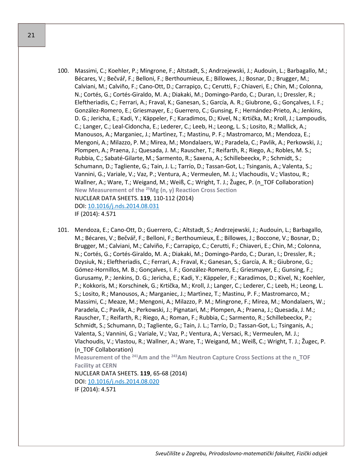- 100. Massimi, C.; Koehler, P.; Mingrone, F.; Altstadt, S.; Andrzejewski, J.; Audouin, L.; Barbagallo, M.; Bécares, V.; Bečvář, F.; Belloni, F.; Berthoumieux, E.; Billowes, J.; Bosnar, D.; Brugger, M.; Calviani, M.; Calviño, F.; Cano-Ott, D.; Carrapiço, C.; Cerutti, F.; Chiaveri, E.; Chin, M.; Colonna, N.; Cortés, G.; Cortés-Giraldo, M. A.; Diakaki, M.; Domingo-Pardo, C.; Duran, I.; Dressler, R.; Eleftheriadis, C.; Ferrari, A.; Fraval, K.; Ganesan, S.; García, A. R.; Giubrone, G.; Gonçalves, I. F.; González-Romero, E.; Griesmayer, E.; Guerrero, C.; Gunsing, F.; Hernández-Prieto, A.; Jenkins, D. G.; Jericha, E.; Kadi, Y.; Käppeler, F.; Karadimos, D.; Kivel, N.; Krtička, M.; Kroll, J.; Lampoudis, C.; Langer, C.; Leal-Cidoncha, E.; Lederer, C.; Leeb, H.; Leong, L. S.; Losito, R.; Mallick, A.; Manousos, A.; Marganiec, J.; Martìnez, T.; Mastinu, P. F.; Mastromarco, M.; Mendoza, E.; Mengoni, A.; Milazzo, P. M.; Mirea, M.; Mondalaers, W.; Paradela, C.; Pavlik, A.; Perkowski, J.; Plompen, A.; Praena, J.; Quesada, J. M.; Rauscher, T.; Reifarth, R.; Riego, A.; Robles, M. S.; Rubbia, C.; Sabaté-Gilarte, M.; Sarmento, R.; Saxena, A.; Schillebeeckx, P.; Schmidt, S.; Schumann, D.; Tagliente, G.; Tain, J. L.; Tarrío, D.; Tassan-Got, L.; Tsinganis, A.; Valenta, S.; Vannini, G.; Variale, V.; Vaz, P.; Ventura, A.; Vermeulen, M. J.; Vlachoudis, V.; Vlastou, R.; Wallner, A.; Ware, T.; Weigand, M.; Weiß, C.; Wright, T. J.; Žugec, P. (n\_TOF Collaboration) **New Measurement of the 25Mg (n, γ) Reaction Cross Section** NUCLEAR DATA SHEETS. **119**, 110-112 (2014) DOI: [10.1016/j.nds.2014.08.031](http://dx.doi.org/10.1016/j.nds.2014.08.031) IF (2014): 4.571
- 101. Mendoza, E.; Cano-Ott, D.; Guerrero, C.; Altstadt, S.; Andrzejewski, J.; Audouin, L.; Barbagallo, M.; Bécares, V.; Bečvář, F.; Belloni, F.; Berthoumieux, E.; Billowes, J.; Boccone, V.; Bosnar, D.; Brugger, M.; Calviani, M.; Calviño, F.; Carrapiço, C.; Cerutti, F.; Chiaveri, E.; Chin, M.; Colonna, N.; Cortés, G.; Cortés-Giraldo, M. A.; Diakaki, M.; Domingo-Pardo, C.; Duran, I.; Dressler, R.; Dzysiuk, N.; Eleftheriadis, C.; Ferrari, A.; Fraval, K.; Ganesan, S.; García, A. R.; Giubrone, G.; Gómez-Hornillos, M. B.; Gonçalves, I. F.; González-Romero, E.; Griesmayer, E.; Gunsing, F.; Gurusamy, P.; Jenkins, D. G.; Jericha, E.; Kadi, Y.; Käppeler, F.; Karadimos, D.; Kivel, N.; Koehler, P.; Kokkoris, M.; Korschinek, G.; Krtička, M.; Kroll, J.; Langer, C.; Lederer, C.; Leeb, H.; Leong, L. S.; Losito, R.; Manousos, A.; Marganiec, J.; Martìnez, T.; Mastinu, P. F.; Mastromarco, M.; Massimi, C.; Meaze, M.; Mengoni, A.; Milazzo, P. M.; Mingrone, F.; Mirea, M.; Mondalaers, W.; Paradela, C.; Pavlik, A.; Perkowski, J.; Pignatari, M.; Plompen, A.; Praena, J.; Quesada, J. M.; Rauscher, T.; Reifarth, R.; Riego, A.; Roman, F.; Rubbia, C.; Sarmento, R.; Schillebeeckx, P.; Schmidt, S.; Schumann, D.; Tagliente, G.; Tain, J. L.; Tarrío, D.; Tassan-Got, L.; Tsinganis, A.; Valenta, S.; Vannini, G.; Variale, V.; Vaz, P.; Ventura, A.; Versaci, R.; Vermeulen, M. J.; Vlachoudis, V.; Vlastou, R.; Wallner, A.; Ware, T.; Weigand, M.; Weiß, C.; Wright, T. J.; Žugec, P. (n\_TOF Collaboration) **Measurement of the 241Am and the 243Am Neutron Capture Cross Sections at the n\_TOF Facility at CERN** NUCLEAR DATA SHEETS. **119**, 65-68 (2014) DOI: [10.1016/j.nds.2014.08.020](http://dx.doi.org/10.1016/j.nds.2014.08.020)

IF (2014): 4.571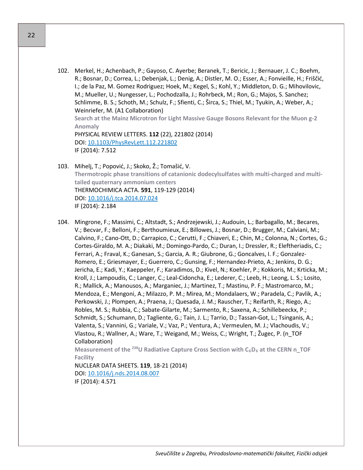102. Merkel, H.; Achenbach, P.; Gayoso, C. Ayerbe; Beranek, T.; Bericic, J.; Bernauer, J. C.; Boehm, R.; Bosnar, D.; Correa, L.; Debenjak, L.; Denig, A.; Distler, M. O.; Esser, A.; Fonvieille, H.; Friščić, I.; de la Paz, M. Gomez Rodriguez; Hoek, M.; Kegel, S.; Kohl, Y.; Middleton, D. G.; Mihovilovic, M.; Mueller, U.; Nungesser, L.; Pochodzalla, J.; Rohrbeck, M.; Ron, G.; Majos, S. Sanchez; Schlimme, B. S.; Schoth, M.; Schulz, F.; Sfienti, C.; Širca, S.; Thiel, M.; Tyukin, A.; Weber, A.; Weinriefer, M. (A1 Collaboration)

**Search at the Mainz Microtron for Light Massive Gauge Bosons Relevant for the Muon g-2 Anomaly**

PHYSICAL REVIEW LETTERS. **112** (22), 221802 (2014) DOI: [10.1103/PhysRevLett.112.221802](http://dx.doi.org/10.1103/PhysRevLett.112.221802) IF (2014): 7.512

- 103. Mihelj, T.; Popović, J.; Skoko, Ž.; Tomašić, V. **Thermotropic phase transitions of catanionic dodecylsulfates with multi-charged and multitailed quaternary ammonium centers** THERMOCHIMICA ACTA. **591**, 119-129 (2014) DOI: [10.1016/j.tca.2014.07.024](http://dx.doi.org/10.1016/j.tca.2014.07.024) IF (2014): 2.184
- 104. Mingrone, F.; Massimi, C.; Altstadt, S.; Andrzejewski, J.; Audouin, L.; Barbagallo, M.; Becares, V.; Becvar, F.; Belloni, F.; Berthoumieux, E.; Billowes, J.; Bosnar, D.; Brugger, M.; Calviani, M.; Calvino, F.; Cano-Ott, D.; Carrapico, C.; Cerutti, F.; Chiaveri, E.; Chin, M.; Colonna, N.; Cortes, G.; Cortes-Giraldo, M. A.; Diakaki, M.; Domingo-Pardo, C.; Duran, I.; Dressler, R.; Eleftheriadis, C.; Ferrari, A.; Fraval, K.; Ganesan, S.; Garcia, A. R.; Giubrone, G.; Goncalves, I. F.; Gonzalez-Romero, E.; Griesmayer, E.; Guerrero, C.; Gunsing, F.; Hernandez-Prieto, A.; Jenkins, D. G.; Jericha, E.; Kadi, Y.; Kaeppeler, F.; Karadimos, D.; Kivel, N.; Koehler, P.; Kokkoris, M.; Krticka, M.; Kroll, J.; Lampoudis, C.; Langer, C.; Leal-Cidoncha, E.; Lederer, C.; Leeb, H.; Leong, L. S.; Losito, R.; Mallick, A.; Manousos, A.; Marganiec, J.; Martinez, T.; Mastinu, P. F.; Mastromarco, M.; Mendoza, E.; Mengoni, A.; Milazzo, P. M.; Mirea, M.; Mondalaers, W.; Paradela, C.; Pavlik, A.; Perkowski, J.; Plompen, A.; Praena, J.; Quesada, J. M.; Rauscher, T.; Reifarth, R.; Riego, A.; Robles, M. S.; Rubbia, C.; Sabate-Gilarte, M.; Sarmento, R.; Saxena, A.; Schillebeeckx, P.; Schmidt, S.; Schumann, D.; Tagliente, G.; Tain, J. L.; Tarrio, D.; Tassan-Got, L.; Tsinganis, A.; Valenta, S.; Vannini, G.; Variale, V.; Vaz, P.; Ventura, A.; Vermeulen, M. J.; Vlachoudis, V.; Vlastou, R.; Wallner, A.; Ware, T.; Weigand, M.; Weiss, C.; Wright, T.; Žugec, P. (n\_TOF Collaboration)

**Measurement of the <sup>238</sup>U Radiative Capture Cross Section with C6D6 at the CERN n\_TOF Facility**

NUCLEAR DATA SHEETS. **119**, 18-21 (2014) DOI: [10.1016/j.nds.2014.08.007](http://dx.doi.org/10.1016/j.nds.2014.08.007) IF (2014): 4.571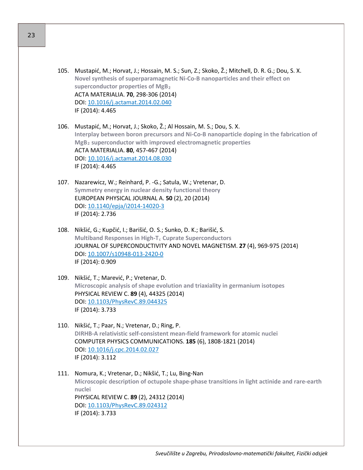- 105. Mustapić, M.; Horvat, J.; Hossain, M. S.; Sun, Z.; Skoko, Ž.; Mitchell, D. R. G.; Dou, S. X. **Novel synthesis of superparamagnetic Ni-Co-B nanoparticles and their effect on superconductor properties of MgB<sup>2</sup>** ACTA MATERIALIA. **70**, 298-306 (2014) DOI: [10.1016/j.actamat.2014.02.040](http://dx.doi.org/10.1016/j.actamat.2014.02.040) IF (2014): 4.465
- 106. Mustapić, M.; Horvat, J.; Skoko, Ž.; Al Hossain, M. S.; Dou, S. X. **Interplay between boron precursors and Ni-Co-B nanoparticle doping in the fabrication of MgB<sup>2</sup> superconductor with improved electromagnetic properties** ACTA MATERIALIA. **80**, 457-467 (2014) DOI: [10.1016/j.actamat.2014.08.030](http://dx.doi.org/10.1016/j.actamat.2014.08.030) IF (2014): 4.465
- 107. Nazarewicz, W.; Reinhard, P. -G.; Satula, W.; Vretenar, D. **Symmetry energy in nuclear density functional theory** EUROPEAN PHYSICAL JOURNAL A. **50** (2), 20 (2014) DOI: [10.1140/epja/i2014](http://dx.doi.org/10.1140/epja/i2014-14020-3)-14020-3 IF (2014): 2.736
- 108. Nikšić, G.; Kupčić, I.; Barišić, O. S.; Sunko, D. K.; Barišić, S. **Multiband Responses in High-T<sup>c</sup> Cuprate Superconductors** JOURNAL OF SUPERCONDUCTIVITY AND NOVEL MAGNETISM. **27** (4), 969-975 (2014) DOI: [10.1007/s10948](http://dx.doi.org/10.1007/s10948-013-2420-0)-013-2420-0 IF (2014): 0.909
- 109. Nikšić, T.; Marević, P.; Vretenar, D. **Microscopic analysis of shape evolution and triaxiality in germanium isotopes** PHYSICAL REVIEW C. **89** (4), 44325 (2014) DOI: [10.1103/PhysRevC.89.044325](http://dx.doi.org/10.1103/PhysRevC.89.044325) IF (2014): 3.733
- 110. Nikšić, T.; Paar, N.; Vretenar, D.; Ring, P. **DIRHB-A relativistic self-consistent mean-field framework for atomic nuclei** COMPUTER PHYSICS COMMUNICATIONS. **185** (6), 1808-1821 (2014) DOI: [10.1016/j.cpc.2014.02.027](http://dx.doi.org/10.1016/j.cpc.2014.02.027) IF (2014): 3.112
- 111. Nomura, K.; Vretenar, D.; Nikšić, T.; Lu, Bing-Nan **Microscopic description of octupole shape-phase transitions in light actinide and rare-earth nuclei** PHYSICAL REVIEW C. **89** (2), 24312 (2014) DOI: [10.1103/PhysRevC.89.024312](http://dx.doi.org/10.1103/PhysRevC.89.024312) IF (2014): 3.733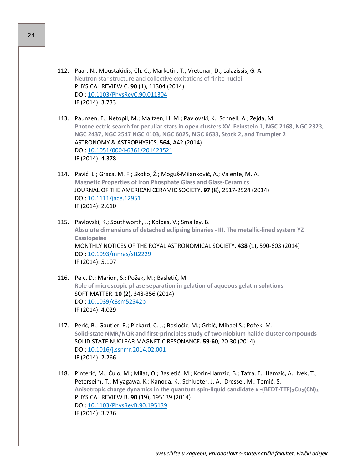- 112. Paar, N.; Moustakidis, Ch. C.; Marketin, T.; Vretenar, D.; Lalazissis, G. A. Neutron star structure and collective excitations of finite nuclei PHYSICAL REVIEW C. **90** (1), 11304 (2014) DOI: [10.1103/PhysRevC.90.011304](http://dx.doi.org/10.1103/PhysRevC.90.011304) IF (2014): 3.733
- 113. Paunzen, E.; Netopil, M.; Maitzen, H. M.; Pavlovski, K.; Schnell, A.; Zejda, M. **Photoelectric search for peculiar stars in open clusters XV. Feinstein 1, NGC 2168, NGC 2323, NGC 2437, NGC 2547 NGC 4103, NGC 6025, NGC 6633, Stock 2, and Trumpler 2** ASTRONOMY & ASTROPHYSICS. **564**, A42 (2014) DOI: 10.1051/0004-[6361/201423521](http://dx.doi.org/10.1051/0004-6361/201423521) IF (2014): 4.378
- 114. Pavić, L.; Graca, M. F.; Skoko, Ž.; Moguš-Milanković, A.; Valente, M. A. **Magnetic Properties of Iron Phosphate Glass and Glass-Ceramics** JOURNAL OF THE AMERICAN CERAMIC SOCIETY. **97** (8), 2517-2524 (2014) DOI: [10.1111/jace.12951](http://dx.doi.org/10.1111/jace.12951) IF (2014): 2.610
- 115. Pavlovski, K.; Southworth, J.; Kolbas, V.; Smalley, B. **Absolute dimensions of detached eclipsing binaries - III. The metallic-lined system YZ Cassiopeiae** MONTHLY NOTICES OF THE ROYAL ASTRONOMICAL SOCIETY. **438** (1), 590-603 (2014) DOI: [10.1093/mnras/stt2229](http://dx.doi.org/10.1093/mnras/stt2229) IF (2014): 5.107
- 116. Pelc, D.; Marion, S.; Požek, M.; Basletić, M. **Role of microscopic phase separation in gelation of aqueous gelatin solutions** SOFT MATTER. **10** (2), 348-356 (2014) DOI: [10.1039/c3sm52542b](http://dx.doi.org/10.1039/c3sm52542b) IF (2014): 4.029
- 117. Perić, B.; Gautier, R.; Pickard, C. J.; Bosiočić, M.; Grbić, Mihael S.; Požek, M. **Solid-state NMR/NQR and first-principles study of two niobium halide cluster compounds** SOLID STATE NUCLEAR MAGNETIC RESONANCE. **59-60**, 20-30 (2014) DOI: [10.1016/j.ssnmr.2014.02.001](http://dx.doi.org/10.1016/j.ssnmr.2014.02.001) IF (2014): 2.266
- 118. Pinterić, M.; Čulo, M.; Milat, O.; Basletić, M.; Korin-Hamzić, B.; Tafra, E.; Hamzić, A.; Ivek, T.; Peterseim, T.; Miyagawa, K.; Kanoda, K.; Schlueter, J. A.; Dressel, M.; Tomić, S. **Anisotropic charge dynamics in the quantum spin-liquid candidate κ -(BEDT-TTF)2Cu2(CN)<sup>3</sup>** PHYSICAL REVIEW B. **90** (19), 195139 (2014) DOI: [10.1103/PhysRevB.90.195139](http://dx.doi.org/10.1103/PhysRevB.90.195139) IF (2014): 3.736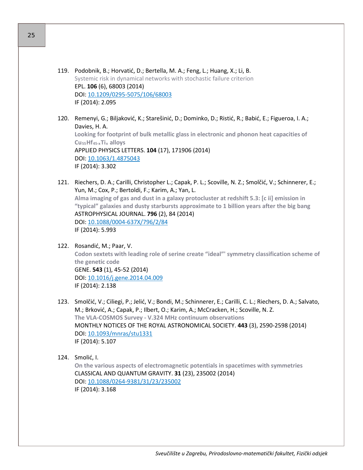- 119. Podobnik, B.; Horvatić, D.; Bertella, M. A.; Feng, L.; Huang, X.; Li, B. Systemic risk in dynamical networks with stochastic failure criterion EPL. **106** (6), 68003 (2014) DOI: 10.1209/0295-[5075/106/68003](http://dx.doi.org/10.1209/0295-5075/106/68003) IF (2014): 2.095
- 120. Remenyi, G.; Biljaković, K.; Starešinić, D.; Dominko, D.; Ristić, R.; Babić, E.; Figueroa, I. A.; Davies, H. A. **Looking for footprint of bulk metallic glass in electronic and phonon heat capacities of Cu55Hf45-xTi<sup>x</sup> alloys** APPLIED PHYSICS LETTERS. **104** (17), 171906 (2014) DOI: [10.1063/1.4875043](http://dx.doi.org/10.1063/1.4875043) IF (2014): 3.302
- 121. Riechers, D. A.; Carilli, Christopher L.; Capak, P. L.; Scoville, N. Z.; Smolčić, V.; Schinnerer, E.; Yun, M.; Cox, P.; Bertoldi, F.; Karim, A.; Yan, L. **Alma imaging of gas and dust in a galaxy protocluster at redshift 5.3: [c ii] emission in "typical" galaxies and dusty starbursts approximate to 1 billion years after the big bang** ASTROPHYSICAL JOURNAL. **796** (2), 84 (2014) DOI: 10.1088/0004-[637X/796/2/84](http://dx.doi.org/10.1088/0004-637X/796/2/84) IF (2014): 5.993
- 122. Rosandić, M.; Paar, V. **Codon sextets with leading role of serine create "ideal"' symmetry classification scheme of the genetic code** GENE. **543** (1), 45-52 (2014) DOI: [10.1016/j.gene.2014.04.009](http://dx.doi.org/10.1016/j.gene.2014.04.009) IF (2014): 2.138
- 123. Smolčić, V.; Ciliegi, P.; Jelić, V.; Bondi, M.; Schinnerer, E.; Carilli, C. L.; Riechers, D. A.; Salvato, M.; Brković, A.; Capak, P.; Ilbert, O.; Karim, A.; McCracken, H.; Scoville, N. Z. **The VLA-COSMOS Survey - V.324 MHz continuum observations** MONTHLY NOTICES OF THE ROYAL ASTRONOMICAL SOCIETY. **443** (3), 2590-2598 (2014) DOI: [10.1093/mnras/stu1331](http://dx.doi.org/10.1093/mnras/stu1331) IF (2014): 5.107
- 124. Smolić, I.

**On the various aspects of electromagnetic potentials in spacetimes with symmetries** CLASSICAL AND QUANTUM GRAVITY. **31** (23), 235002 (2014) DOI: 10.1088/0264-[9381/31/23/235002](http://dx.doi.org/10.1088/0264-9381/31/23/235002) IF (2014): 3.168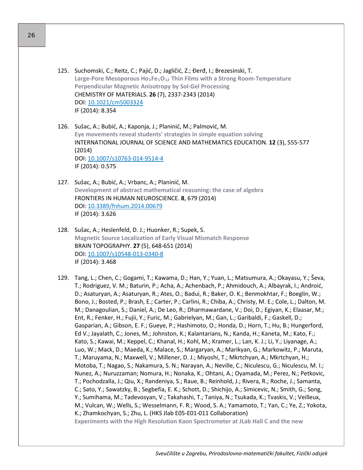- 125. Suchomski, C.; Reitz, C.; Pajić, D.; Jagličić, Z.; Đerđ, I.; Brezesinski, T. **Large-Pore Mesoporous Ho3Fe5O12 Thin Films with a Strong Room-Temperature Perpendicular Magnetic Anisotropy by Sol-Gel Processing** CHEMISTRY OF MATERIALS. **26** (7), 2337-2343 (2014) DOI: [10.1021/cm5003324](http://dx.doi.org/10.1021/cm5003324) IF (2014): 8.354
- 126. Sušac, A.; Bubić, A.; Kaponja, J.; Planinić, M.; Palmović, M. **Eye movements reveal students' strategies in simple equation solving** INTERNATIONAL JOURNAL OF SCIENCE AND MATHEMATICS EDUCATION. **12** (3), 555-577 (2014) DOI: [10.1007/s10763](http://dx.doi.org/10.1007/s10763-014-9514-4)-014-9514-4 IF (2014): 0.575
- 127. Sušac, A.; Bubić, A.; Vrbanc, A.; Planinić, M. **Development of abstract mathematical reasoning: the case of algebra** FRONTIERS IN HUMAN NEUROSCIENCE. **8**, 679 (2014) DOI: [10.3389/fnhum.2014.00679](http://dx.doi.org/10.3389/fnhum.2014.00679) IF (2014): 3.626
- 128. Sušac, A.; Heslenfeld, D. J.; Huonker, R.; Supek, S. **Magnetic Source Localization of Early Visual Mismatch Response** BRAIN TOPOGRAPHY. **27** (5), 648-651 (2014) DOI: [10.1007/s10548](http://dx.doi.org/10.1007/s10548-013-0340-8)-013-0340-8 IF (2014): 3.468
- 129. Tang, L.; Chen, C.; Gogami, T.; Kawama, D.; Han, Y.; Yuan, L.; Matsumura, A.; Okayasu, Y.; Ševa, T.; Rodriguez, V. M.; Baturin, P.; Acha, A.; Achenbach, P.; Ahmidouch, A.; Albayrak, I.; Androić, D.; Asaturyan, A.; Asaturyan, R.; Ates, O.; Badui, R.; Baker, O. K.; Benmokhtar, F.; Boeglin, W.; Bono, J.; Bosted, P.; Brash, E.; Carter, P.; Carlini, R.; Chiba, A.; Christy, M. E.; Cole, L.; Dalton, M. M.; Danagoulian, S.; Daniel, A.; De Leo, R.; Dharmawardane, V.; Doi, D.; Egiyan, K.; Elaasar, M.; Ent, R.; Fenker, H.; Fujii, Y.; Furic, M.; Gabrielyan, M.; Gan, L.; Garibaldi, F.; Gaskell, D.; Gasparian, A.; Gibson, E. F.; Gueye, P.; Hashimoto, O.; Honda, D.; Horn, T.; Hu, B.; Hungerford, Ed V.; Jayalath, C.; Jones, M.; Johnston, K.; Kalantarians, N.; Kanda, H.; Kaneta, M.; Kato, F.; Kato, S.; Kawai, M.; Keppel, C.; Khanal, H.; Kohl, M.; Kramer, L.; Lan, K. J.; Li, Y.; Liyanage, A.; Luo, W.; Mack, D.; Maeda, K.; Malace, S.; Margaryan, A.; Marikyan, G.; Markowitz, P.; Maruta, T.; Maruyama, N.; Maxwell, V.; Millener, D. J.; Miyoshi, T.; Mkrtchyan, A.; Mkrtchyan, H.; Motoba, T.; Nagao, S.; Nakamura, S. N.; Narayan, A.; Neville, C.; Niculescu, G.; Niculescu, M. I.; Nunez, A.; Nuruzzaman; Nomura, H.; Nonaka, K.; Ohtani, A.; Oyamada, M.; Perez, N.; Petkovic, T.; Pochodzalla, J.; Qiu, X.; Randeniya, S.; Raue, B.; Reinhold, J.; Rivera, R.; Roche, J.; Samanta, C.; Sato, Y.; Sawatzky, B.; Segbefia, E. K.; Schott, D.; Shichijo, A.; Simicevic, N.; Smith, G.; Song, Y.; Sumihama, M.; Tadevosyan, V.; Takahashi, T.; Taniya, N.; Tsukada, K.; Tvaskis, V.; Veilleux, M.; Vulcan, W.; Wells, S.; Wesselmann, F. R.; Wood, S. A.; Yamamoto, T.; Yan, C.; Ye, Z.; Yokota, K.; Zhamkochyan, S.; Zhu, L. (HKS Jlab E05-E01-011 Collaboration) **Experiments with the High Resolution Kaon Spectrometer at JLab Hall C and the new**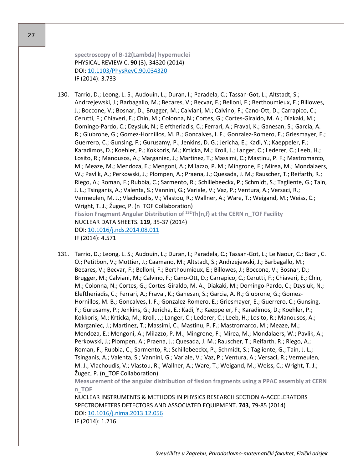**spectroscopy of B-12(Lambda) hypernuclei** PHYSICAL REVIEW C. **90** (3), 34320 (2014) DOI: [10.1103/PhysRevC.90.034320](http://dx.doi.org/10.1103/PhysRevC.90.034320) IF (2014): 3.733

130. Tarrio, D.; Leong, L. S.; Audouin, L.; Duran, I.; Paradela, C.; Tassan-Got, L.; Altstadt, S.; Andrzejewski, J.; Barbagallo, M.; Becares, V.; Becvar, F.; Belloni, F.; Berthoumieux, E.; Billowes, J.; Boccone, V.; Bosnar, D.; Brugger, M.; Calviani, M.; Calvino, F.; Cano-Ott, D.; Carrapico, C.; Cerutti, F.; Chiaveri, E.; Chin, M.; Colonna, N.; Cortes, G.; Cortes-Giraldo, M. A.; Diakaki, M.; Domingo-Pardo, C.; Dzysiuk, N.; Eleftheriadis, C.; Ferrari, A.; Fraval, K.; Ganesan, S.; Garcia, A. R.; Giubrone, G.; Gomez-Hornillos, M. B.; Goncalves, I. F.; Gonzalez-Romero, E.; Griesmayer, E.; Guerrero, C.; Gunsing, F.; Gurusamy, P.; Jenkins, D. G.; Jericha, E.; Kadi, Y.; Kaeppeler, F.; Karadimos, D.; Koehler, P.; Kokkoris, M.; Krticka, M.; Kroll, J.; Langer, C.; Lederer, C.; Leeb, H.; Losito, R.; Manousos, A.; Marganiec, J.; Martinez, T.; Massimi, C.; Mastinu, P. F.; Mastromarco, M.; Meaze, M.; Mendoza, E.; Mengoni, A.; Milazzo, P. M.; Mingrone, F.; Mirea, M.; Mondalaers, W.; Pavlik, A.; Perkowski, J.; Plompen, A.; Praena, J.; Quesada, J. M.; Rauscher, T.; Reifarth, R.; Riego, A.; Roman, F.; Rubbia, C.; Sarmento, R.; Schillebeeckx, P.; Schmidt, S.; Tagliente, G.; Tain, J. L.; Tsinganis, A.; Valenta, S.; Vannini, G.; Variale, V.; Vaz, P.; Ventura, A.; Versaci, R.; Vermeulen, M. J.; Vlachoudis, V.; Vlastou, R.; Wallner, A.; Ware, T.; Weigand, M.; Weiss, C.; Wright, T. J.; Žugec, P. (n\_TOF Collaboration) **Fission Fragment Angular Distribution of <sup>232</sup>Th(n,f) at the CERN n\_TOF Facility** NUCLEAR DATA SHEETS. **119**, 35-37 (2014) DOI: [10.1016/j.nds.2014.08.011](http://dx.doi.org/10.1016/j.nds.2014.08.011) IF (2014): 4.571

131. Tarrio, D.; Leong, L. S.; Audouin, L.; Duran, I.; Paradela, C.; Tassan-Got, L.; Le Naour, C.; Bacri, C. O.; Petitbon, V.; Mottier, J.; Caamano, M.; Altstadt, S.; Andrzejewski, J.; Barbagallo, M.; Becares, V.; Becvar, F.; Belloni, F.; Berthoumieux, E.; Billowes, J.; Boccone, V.; Bosnar, D.; Brugger, M.; Calviani, M.; Calvino, F.; Cano-Ott, D.; Carrapico, C.; Cerutti, F.; Chiaveri, E.; Chin, M.; Colonna, N.; Cortes, G.; Cortes-Giraldo, M. A.; Diakaki, M.; Domingo-Pardo, C.; Dzysiuk, N.; Eleftheriadis, C.; Ferrari, A.; Fraval, K.; Ganesan, S.; Garcia, A. R.; Giubrone, G.; Gomez-Hornillos, M. B.; Goncalves, I. F.; Gonzalez-Romero, E.; Griesmayer, E.; Guerrero, C.; Gunsing, F.; Gurusamy, P.; Jenkins, G.; Jericha, E.; Kadi, Y.; Kaeppeler, F.; Karadimos, D.; Koehler, P.; Kokkoris, M.; Krticka, M.; Kroll, J.; Langer, C.; Lederer, C.; Leeb, H.; Losito, R.; Manousos, A.; Marganiec, J.; Martinez, T.; Massimi, C.; Mastinu, P. F.; Mastromarco, M.; Meaze, M.; Mendoza, E.; Mengoni, A.; Milazzo, P. M.; Mingrone, F.; Mirea, M.; Mondalaers, W.; Pavlik, A.; Perkowski, J.; Plompen, A.; Praena, J.; Quesada, J. M.; Rauscher, T.; Reifarth, R.; Riego, A.; Roman, F.; Rubbia, C.; Sarmento, R.; Schillebeeckx, P.; Schmidt, S.; Tagliente, G.; Tain, J. L.; Tsinganis, A.; Valenta, S.; Vannini, G.; Variale, V.; Vaz, P.; Ventura, A.; Versaci, R.; Vermeulen, M. J.; Vlachoudis, V.; Vlastou, R.; Wallner, A.; Ware, T.; Weigand, M.; Weiss, C.; Wright, T. J.; Žugec, P. (n\_TOF Collaboration)

**Measurement of the angular distribution of fission fragments using a PPAC assembly at CERN n\_TOF**

NUCLEAR INSTRUMENTS & METHODS IN PHYSICS RESEARCH SECTION A-ACCELERATORS SPECTROMETERS DETECTORS AND ASSOCIATED EQUIPMENT. **743**, 79-85 (2014) DOI: [10.1016/j.nima.2013.12.056](http://dx.doi.org/10.1016/j.nima.2013.12.056) IF (2014): 1.216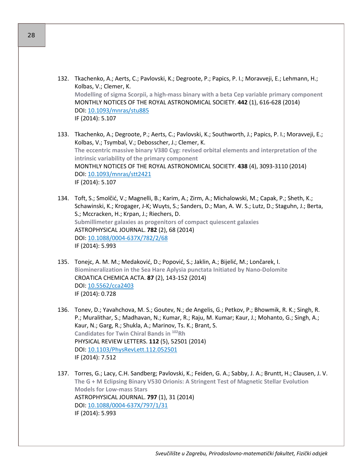- 132. Tkachenko, A.; Aerts, C.; Pavlovski, K.; Degroote, P.; Papics, P. I.; Moravveji, E.; Lehmann, H.; Kolbas, V.; Clemer, K. **Modelling of sigma Scorpii, a high-mass binary with a beta Cep variable primary component** MONTHLY NOTICES OF THE ROYAL ASTRONOMICAL SOCIETY. **442** (1), 616-628 (2014) DOI: [10.1093/mnras/stu885](http://dx.doi.org/10.1093/mnras/stu885) IF (2014): 5.107
- 133. Tkachenko, A.; Degroote, P.; Aerts, C.; Pavlovski, K.; Southworth, J.; Papics, P. I.; Moravveji, E.; Kolbas, V.; Tsymbal, V.; Debosscher, J.; Clemer, K. **The eccentric massive binary V380 Cyg: revised orbital elements and interpretation of the intrinsic variability of the primary component** MONTHLY NOTICES OF THE ROYAL ASTRONOMICAL SOCIETY. **438** (4), 3093-3110 (2014) DOI: [10.1093/mnras/stt2421](http://dx.doi.org/10.1093/mnras/stt2421) IF (2014): 5.107
- 134. Toft, S.; Smolčić, V.; Magnelli, B.; Karim, A.; Zirm, A.; Michalowski, M.; Capak, P.; Sheth, K.; Schawinski, K.; Krogager, J-K; Wuyts, S.; Sanders, D.; Man, A. W. S.; Lutz, D.; Staguhn, J.; Berta, S.; Mccracken, H.; Krpan, J.; Riechers, D. **Submillimeter galaxies as progenitors of compact quiescent galaxies** ASTROPHYSICAL JOURNAL. **782** (2), 68 (2014) DOI: 10.1088/0004-[637X/782/2/68](http://dx.doi.org/10.1088/0004-637X/782/2/68) IF (2014): 5.993
- 135. Tonejc, A. M. M.; Medaković, D.; Popović, S.; Jaklin, A.; Bijelić, M.; Lončarek, I. **Biomineralization in the Sea Hare Aplysia punctata Initiated by Nano-Dolomite** CROATICA CHEMICA ACTA. **87** (2), 143-152 (2014) DOI: [10.5562/cca2403](http://dx.doi.org/10.5562/cca2403) IF (2014): 0.728
- 136. Tonev, D.; Yavahchova, M. S.; Goutev, N.; de Angelis, G.; Petkov, P.; Bhowmik, R. K.; Singh, R. P.; Muralithar, S.; Madhavan, N.; Kumar, R.; Raju, M. Kumar; Kaur, J.; Mohanto, G.; Singh, A.; Kaur, N.; Garg, R.; Shukla, A.; Marinov, Ts. K.; Brant, S. **Candidates for Twin Chiral Bands in 102Rh** PHYSICAL REVIEW LETTERS. **112** (5), 52501 (2014) DOI: [10.1103/PhysRevLett.112.052501](http://dx.doi.org/10.1103/PhysRevLett.112.052501) IF (2014): 7.512
- 137. Torres, G.; Lacy, C.H. Sandberg; Pavlovski, K.; Feiden, G. A.; Sabby, J. A.; Bruntt, H.; Clausen, J. V. **The G + M Eclipsing Binary V530 Orionis: A Stringent Test of Magnetic Stellar Evolution Models for Low-mass Stars** ASTROPHYSICAL JOURNAL. **797** (1), 31 (2014) DOI: 10.1088/0004-[637X/797/1/31](http://dx.doi.org/10.1088/0004-637X/797/1/31) IF (2014): 5.993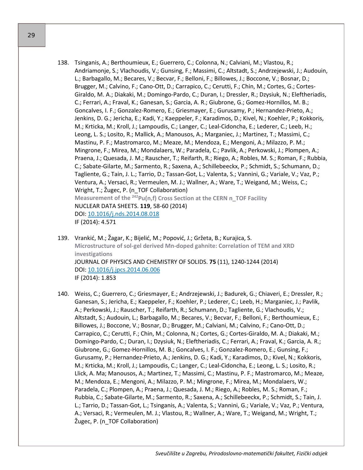- 138. Tsinganis, A.; Berthoumieux, E.; Guerrero, C.; Colonna, N.; Calviani, M.; Vlastou, R.; Andriamonje, S.; Vlachoudis, V.; Gunsing, F.; Massimi, C.; Altstadt, S.; Andrzejewski, J.; Audouin, L.; Barbagallo, M.; Becares, V.; Becvar, F.; Belloni, F.; Billowes, J.; Boccone, V.; Bosnar, D.; Brugger, M.; Calvino, F.; Cano-Ott, D.; Carrapico, C.; Cerutti, F.; Chin, M.; Cortes, G.; Cortes-Giraldo, M. A.; Diakaki, M.; Domingo-Pardo, C.; Duran, I.; Dressler, R.; Dzysiuk, N.; Eleftheriadis, C.; Ferrari, A.; Fraval, K.; Ganesan, S.; Garcia, A. R.; Giubrone, G.; Gomez-Hornillos, M. B.; Goncalves, I. F.; Gonzalez-Romero, E.; Griesmayer, E.; Gurusamy, P.; Hernandez-Prieto, A.; Jenkins, D. G.; Jericha, E.; Kadi, Y.; Kaeppeler, F.; Karadimos, D.; Kivel, N.; Koehler, P.; Kokkoris, M.; Krticka, M.; Kroll, J.; Lampoudis, C.; Langer, C.; Leal-Cidoncha, E.; Lederer, C.; Leeb, H.; Leong, L. S.; Losito, R.; Mallick, A.; Manousos, A.; Marganiec, J.; Martinez, T.; Massimi, C.; Mastinu, P. F.; Mastromarco, M.; Meaze, M.; Mendoza, E.; Mengoni, A.; Milazzo, P. M.; Mingrone, F.; Mirea, M.; Mondalaers, W.; Paradela, C.; Pavlik, A.; Perkowski, J.; Plompen, A.; Praena, J.; Quesada, J. M.; Rauscher, T.; Reifarth, R.; Riego, A.; Robles, M. S.; Roman, F.; Rubbia, C.; Sabate-Gilarte, M.; Sarmento, R.; Saxena, A.; Schillebeeckx, P.; Schmidt, S.; Schumann, D.; Tagliente, G.; Tain, J. L.; Tarrio, D.; Tassan-Got, L.; Valenta, S.; Vannini, G.; Variale, V.; Vaz, P.; Ventura, A.; Versaci, R.; Vermeulen, M. J.; Wallner, A.; Ware, T.; Weigand, M.; Weiss, C.; Wright, T.; Žugec, P. (n\_TOF Collaboration) **Measurement of the 242Pu(n,f) Cross Section at the CERN n\_TOF Facility** NUCLEAR DATA SHEETS. **119**, 58-60 (2014) DOI: [10.1016/j.nds.2014.08.018](http://dx.doi.org/10.1016/j.nds.2014.08.018) IF (2014): 4.571
- 139. Vrankić, M.; Žagar, K.; Bijelić, M.; Popović, J.; Gržeta, B.; Kurajica, S. **Microstructure of sol-gel derived Mn-doped gahnite: Correlation of TEM and XRD investigations** JOURNAL OF PHYSICS AND CHEMISTRY OF SOLIDS. **75** (11), 1240-1244 (2014) DOI: [10.1016/j.jpcs.2014.06.006](http://dx.doi.org/10.1016/j.jpcs.2014.06.006) IF (2014): 1.853
- 140. Weiss, C.; Guerrero, C.; Griesmayer, E.; Andrzejewski, J.; Badurek, G.; Chiaveri, E.; Dressler, R.; Ganesan, S.; Jericha, E.; Kaeppeler, F.; Koehler, P.; Lederer, C.; Leeb, H.; Marganiec, J.; Pavlik, A.; Perkowski, J.; Rauscher, T.; Reifarth, R.; Schumann, D.; Tagliente, G.; Vlachoudis, V.; Altstadt, S.; Audouin, L.; Barbagallo, M.; Becares, V.; Becvar, F.; Belloni, F.; Berthoumieux, E.; Billowes, J.; Boccone, V.; Bosnar, D.; Brugger, M.; Calviani, M.; Calvino, F.; Cano-Ott, D.; Carrapico, C.; Cerutti, F.; Chin, M.; Colonna, N.; Cortes, G.; Cortes-Giraldo, M. A.; Diakaki, M.; Domingo-Pardo, C.; Duran, I.; Dzysiuk, N.; Eleftheriadis, C.; Ferrari, A.; Fraval, K.; Garcia, A. R.; Giubrone, G.; Gomez-Hornillos, M. B.; Goncalves, I. F.; Gonzalez-Romero, E.; Gunsing, F.; Gurusamy, P.; Hernandez-Prieto, A.; Jenkins, D. G.; Kadi, Y.; Karadimos, D.; Kivel, N.; Kokkoris, M.; Krticka, M.; Kroll, J.; Lampoudis, C.; Langer, C.; Leal-Cidoncha, E.; Leong, L. S.; Losito, R.; Llick, A. Ma; Manousos, A.; Martinez, T.; Massimi, C.; Mastinu, P. F.; Mastromarco, M.; Meaze, M.; Mendoza, E.; Mengoni, A.; Milazzo, P. M.; Mingrone, F.; Mirea, M.; Mondalaers, W.; Paradela, C.; Plompen, A.; Praena, J.; Quesada, J. M.; Riego, A.; Robles, M. S.; Roman, F.; Rubbia, C.; Sabate-Gilarte, M.; Sarmento, R.; Saxena, A.; Schillebeeckx, P.; Schmidt, S.; Tain, J. L.; Tarrio, D.; Tassan-Got, L.; Tsinganis, A.; Valenta, S.; Vannini, G.; Variale, V.; Vaz, P.; Ventura, A.; Versaci, R.; Vermeulen, M. J.; Vlastou, R.; Wallner, A.; Ware, T.; Weigand, M.; Wright, T.; Žugec, P. (n\_TOF Collaboration)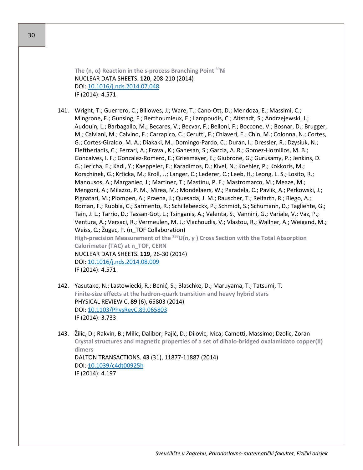**The (n, α) Reaction in the s-process Branching Point 59Ni** NUCLEAR DATA SHEETS. **120**, 208-210 (2014) DOI: [10.1016/j.nds.2014.07.048](http://dx.doi.org/10.1016/j.nds.2014.07.048)

IF (2014): 4.571

- 141. Wright, T.; Guerrero, C.; Billowes, J.; Ware, T.; Cano-Ott, D.; Mendoza, E.; Massimi, C.; Mingrone, F.; Gunsing, F.; Berthoumieux, E.; Lampoudis, C.; Altstadt, S.; Andrzejewski, J.; Audouin, L.; Barbagallo, M.; Becares, V.; Becvar, F.; Belloni, F.; Boccone, V.; Bosnar, D.; Brugger, M.; Calviani, M.; Calvino, F.; Carrapico, C.; Cerutti, F.; Chiaveri, E.; Chin, M.; Colonna, N.; Cortes, G.; Cortes-Giraldo, M. A.; Diakaki, M.; Domingo-Pardo, C.; Duran, I.; Dressler, R.; Dzysiuk, N.; Eleftheriadis, C.; Ferrari, A.; Fraval, K.; Ganesan, S.; Garcia, A. R.; Gomez-Hornillos, M. B.; Goncalves, I. F.; Gonzalez-Romero, E.; Griesmayer, E.; Giubrone, G.; Gurusamy, P.; Jenkins, D. G.; Jericha, E.; Kadi, Y.; Kaeppeler, F.; Karadimos, D.; Kivel, N.; Koehler, P.; Kokkoris, M.; Korschinek, G.; Krticka, M.; Kroll, J.; Langer, C.; Lederer, C.; Leeb, H.; Leong, L. S.; Losito, R.; Manousos, A.; Marganiec, J.; Martinez, T.; Mastinu, P. F.; Mastromarco, M.; Meaze, M.; Mengoni, A.; Milazzo, P. M.; Mirea, M.; Mondelaers, W.; Paradela, C.; Pavlik, A.; Perkowski, J.; Pignatari, M.; Plompen, A.; Praena, J.; Quesada, J. M.; Rauscher, T.; Reifarth, R.; Riego, A.; Roman, F.; Rubbia, C.; Sarmento, R.; Schillebeeckx, P.; Schmidt, S.; Schumann, D.; Tagliente, G.; Tain, J. L.; Tarrio, D.; Tassan-Got, L.; Tsinganis, A.; Valenta, S.; Vannini, G.; Variale, V.; Vaz, P.; Ventura, A.; Versaci, R.; Vermeulen, M. J.; Vlachoudis, V.; Vlastou, R.; Wallner, A.; Weigand, M.; Weiss, C.; Žugec, P. (n\_TOF Collaboration) **High-precision Measurement of the <sup>238</sup>U(n, γ ) Cross Section with the Total Absorption Calorimeter (TAC) at n\_TOF, CERN** NUCLEAR DATA SHEETS. **119**, 26-30 (2014) DOI: [10.1016/j.nds.2014.08.009](http://dx.doi.org/10.1016/j.nds.2014.08.009) IF (2014): 4.571
- 142. Yasutake, N.; Lastowiecki, R.; Benić, S.; Blaschke, D.; Maruyama, T.; Tatsumi, T. **Finite-size effects at the hadron-quark transition and heavy hybrid stars** PHYSICAL REVIEW C. **89** (6), 65803 (2014) DOI: [10.1103/PhysRevC.89.065803](http://dx.doi.org/10.1103/PhysRevC.89.065803) IF (2014): 3.733
- 143. Žilic, D.; Rakvin, B.; Milic, Dalibor; Pajić, D.; Dilovic, Ivica; Cametti, Massimo; Dzolic, Zoran **Crystal structures and magnetic properties of a set of dihalo-bridged oxalamidato copper(II) dimers** DALTON TRANSACTIONS. **43** (31), 11877-11887 (2014) DOI: [10.1039/c4dt00925h](http://dx.doi.org/10.1039/c4dt00925h) IF (2014): 4.197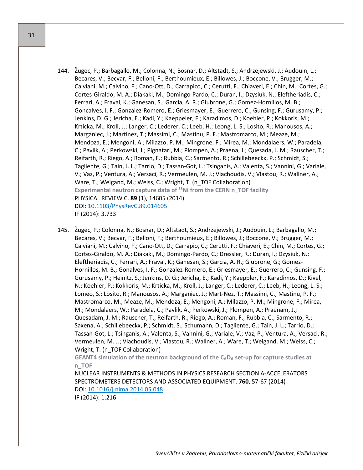- 144. Žugec, P.; Barbagallo, M.; Colonna, N.; Bosnar, D.; Altstadt, S.; Andrzejewski, J.; Audouin, L.; Becares, V.; Becvar, F.; Belloni, F.; Berthoumieux, E.; Billowes, J.; Boccone, V.; Brugger, M.; Calviani, M.; Calvino, F.; Cano-Ott, D.; Carrapico, C.; Cerutti, F.; Chiaveri, E.; Chin, M.; Cortes, G.; Cortes-Giraldo, M. A.; Diakaki, M.; Domingo-Pardo, C.; Duran, I.; Dzysiuk, N.; Eleftheriadis, C.; Ferrari, A.; Fraval, K.; Ganesan, S.; Garcia, A. R.; Giubrone, G.; Gomez-Hornillos, M. B.; Goncalves, I. F.; Gonzalez-Romero, E.; Griesmayer, E.; Guerrero, C.; Gunsing, F.; Gurusamy, P.; Jenkins, D. G.; Jericha, E.; Kadi, Y.; Kaeppeler, F.; Karadimos, D.; Koehler, P.; Kokkoris, M.; Krticka, M.; Kroll, J.; Langer, C.; Lederer, C.; Leeb, H.; Leong, L. S.; Losito, R.; Manousos, A.; Marganiec, J.; Martinez, T.; Massimi, C.; Mastinu, P. F.; Mastromarco, M.; Meaze, M.; Mendoza, E.; Mengoni, A.; Milazzo, P. M.; Mingrone, F.; Mirea, M.; Mondalaers, W.; Paradela, C.; Pavlik, A.; Perkowski, J.; Pignatari, M.; Plompen, A.; Praena, J.; Quesada, J. M.; Rauscher, T.; Reifarth, R.; Riego, A.; Roman, F.; Rubbia, C.; Sarmento, R.; Schillebeeckx, P.; Schmidt, S.; Tagliente, G.; Tain, J. L.; Tarrio, D.; Tassan-Got, L.; Tsinganis, A.; Valenta, S.; Vannini, G.; Variale, V.; Vaz, P.; Ventura, A.; Versaci, R.; Vermeulen, M. J.; Vlachoudis, V.; Vlastou, R.; Wallner, A.; Ware, T.; Weigand, M.; Weiss, C.; Wright, T. (n\_TOF Collaboration) Experimental neutron capture data of <sup>58</sup>Ni from the CERN n\_TOF facility PHYSICAL REVIEW C. **89** (1), 14605 (2014) DOI: [10.1103/PhysRevC.89.014605](http://dx.doi.org/10.1103/PhysRevC.89.014605) IF (2014): 3.733
- 145. Žugec, P.; Colonna, N.; Bosnar, D.; Altstadt, S.; Andrzejewski, J.; Audouin, L.; Barbagallo, M.; Becares, V.; Becvar, F.; Belloni, F.; Berthoumieux, E.; Billowes, J.; Boccone, V.; Brugger, M.; Calviani, M.; Calvino, F.; Cano-Ott, D.; Carrapio, C.; Cerutti, F.; Chiaveri, E.; Chin, M.; Cortes, G.; Cortes-Giraldo, M. A.; Diakaki, M.; Domingo-Pardo, C.; Dressler, R.; Duran, I.; Dzysiuk, N.; Eleftheriadis, C.; Ferrari, A.; Fraval, K.; Ganesan, S.; Garcia, A. R.; Giubrone, G.; Gomez-Hornillos, M. B.; Gonalves, I. F.; Gonzalez-Romero, E.; Griesmayer, E.; Guerrero, C.; Gunsing, F.; Gurusamy, P.; Heinitz, S.; Jenkins, D. G.; Jericha, E.; Kadi, Y.; Kaeppler, F.; Karadimos, D.; Kivel, N.; Koehler, P.; Kokkoris, M.; Krticka, M.; Kroll, J.; Langer, C.; Lederer, C.; Leeb, H.; Leong, L. S.; Lomeo, S.; Losito, R.; Manousos, A.; Marganiec, J.; Mart-Nez, T.; Massimi, C.; Mastinu, P. F.; Mastromarco, M.; Meaze, M.; Mendoza, E.; Mengoni, A.; Milazzo, P. M.; Mingrone, F.; Mirea, M.; Mondalaers, W.; Paradela, C.; Pavlik, A.; Perkowski, J.; Plompen, A.; Praenam, J.; Quesadam, J. M.; Rauscher, T.; Reifarth, R.; Riego, A.; Roman, F.; Rubbia, C.; Sarmento, R.; Saxena, A.; Schillebeeckx, P.; Schmidt, S.; Schumann, D.; Tagliente, G.; Tain, J. L.; Tarrio, D.; Tassan-Got, L.; Tsinganis, A.; Valenta, S.; Vannini, G.; Variale, V.; Vaz, P.; Ventura, A.; Versaci, R.; Vermeulen, M. J.; Vlachoudis, V.; Vlastou, R.; Wallner, A.; Ware, T.; Weigand, M.; Weiss, C.; Wright, T. (n\_TOF Collaboration)

**GEANT4 simulation of the neutron background of the C6D6 set-up for capture studies at n\_TOF**

NUCLEAR INSTRUMENTS & METHODS IN PHYSICS RESEARCH SECTION A-ACCELERATORS SPECTROMETERS DETECTORS AND ASSOCIATED EQUIPMENT. **760**, 57-67 (2014) DOI: [10.1016/j.nima.2014.05.048](http://dx.doi.org/10.1016/j.nima.2014.05.048)

IF (2014): 1.216